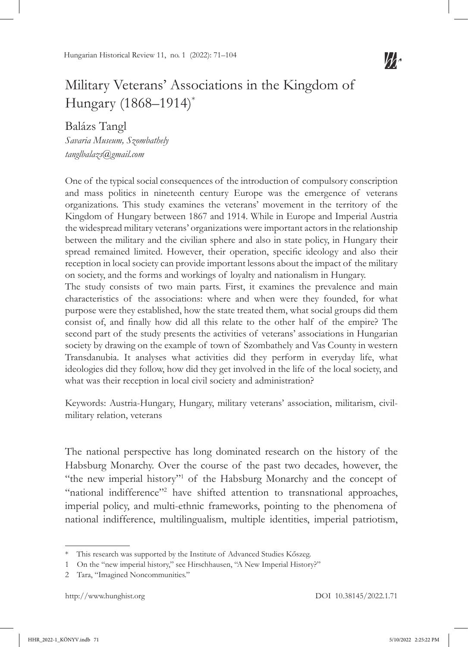

# Military Veterans' Associations in the Kingdom of Hungary (1868–1914)\*

Balázs Tangl *Savaria Museum, Szombathely tanglbalazs@gmail.com*

One of the typical social consequences of the introduction of compulsory conscription and mass politics in nineteenth century Europe was the emergence of veterans organizations. This study examines the veterans' movement in the territory of the Kingdom of Hungary between 1867 and 1914. While in Europe and Imperial Austria the widespread military veterans' organizations were important actors in the relationship between the military and the civilian sphere and also in state policy, in Hungary their spread remained limited. However, their operation, specific ideology and also their reception in local society can provide important lessons about the impact of the military on society, and the forms and workings of loyalty and nationalism in Hungary.

The study consists of two main parts. First, it examines the prevalence and main characteristics of the associations: where and when were they founded, for what purpose were they established, how the state treated them, what social groups did them consist of, and finally how did all this relate to the other half of the empire? The second part of the study presents the activities of veterans' associations in Hungarian society by drawing on the example of town of Szombathely and Vas County in western Transdanubia. It analyses what activities did they perform in everyday life, what ideologies did they follow, how did they get involved in the life of the local society, and what was their reception in local civil society and administration?

Keywords: Austria-Hungary, Hungary, military veterans' association, militarism, civilmilitary relation, veterans

The national perspective has long dominated research on the history of the Habsburg Monarchy. Over the course of the past two decades, however, the "the new imperial history"<sup>1</sup> of the Habsburg Monarchy and the concept of "national indifference"<sup>2</sup> have shifted attention to transnational approaches, imperial policy, and multi-ethnic frameworks, pointing to the phenomena of national indifference, multilingualism, multiple identities, imperial patriotism,

<sup>\*</sup> This research was supported by the Institute of Advanced Studies Kőszeg.

<sup>1</sup> On the "new imperial history," see Hirschhausen, "A New Imperial History?"

<sup>2</sup> Tara, "Imagined Noncommunities."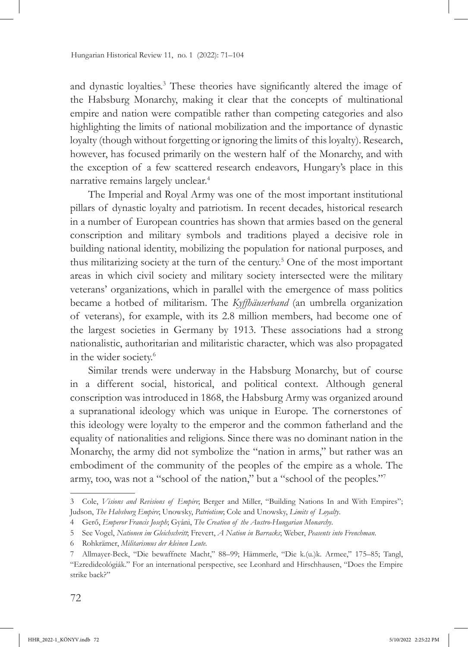and dynastic loyalties.<sup>3</sup> These theories have significantly altered the image of the Habsburg Monarchy, making it clear that the concepts of multinational empire and nation were compatible rather than competing categories and also highlighting the limits of national mobilization and the importance of dynastic loyalty (though without forgetting or ignoring the limits of this loyalty). Research, however, has focused primarily on the western half of the Monarchy, and with the exception of a few scattered research endeavors, Hungary's place in this narrative remains largely unclear.4

The Imperial and Royal Army was one of the most important institutional pillars of dynastic loyalty and patriotism. In recent decades, historical research in a number of European countries has shown that armies based on the general conscription and military symbols and traditions played a decisive role in building national identity, mobilizing the population for national purposes, and thus militarizing society at the turn of the century.5 One of the most important areas in which civil society and military society intersected were the military veterans' organizations, which in parallel with the emergence of mass politics became a hotbed of militarism. The *Kyffhäuserband* (an umbrella organization of veterans), for example, with its 2.8 million members, had become one of the largest societies in Germany by 1913. These associations had a strong nationalistic, authoritarian and militaristic character, which was also propagated in the wider society.<sup>6</sup>

Similar trends were underway in the Habsburg Monarchy, but of course in a different social, historical, and political context. Although general conscription was introduced in 1868, the Habsburg Army was organized around a supranational ideology which was unique in Europe. The cornerstones of this ideology were loyalty to the emperor and the common fatherland and the equality of nationalities and religions. Since there was no dominant nation in the Monarchy, the army did not symbolize the "nation in arms," but rather was an embodiment of the community of the peoples of the empire as a whole. The army, too, was not a "school of the nation," but a "school of the peoples."<sup>7</sup>

<sup>3</sup> Cole, *Visions and Revisions of Empire*; Berger and Miller, "Building Nations In and With Empires"; Judson, *The Habsburg Empire*; Unowsky, *Patriotism*; Cole and Unowsky, *Limits of Loyalty*.

<sup>4</sup> Gerő, *Emperor Francis Joseph*; Gyáni, *The Creation of the Austro-Hungarian Monarchy*.

<sup>5</sup> See Vogel, *Nationen im Gleichschritt*; Frevert, *A Nation in Barracks*; Weber, *Peasents into Frenchman*.

<sup>6</sup> Rohkrämer, *Militarismus der kleinen Leute.*

<sup>7</sup> Allmayer-Beck, "Die bewaffnete Macht," 88–99; Hämmerle, "Die k.(u.)k. Armee," 175–85; Tangl, "Ezredideológiák." For an international perspective, see Leonhard and Hirschhausen, "Does the Empire strike back?"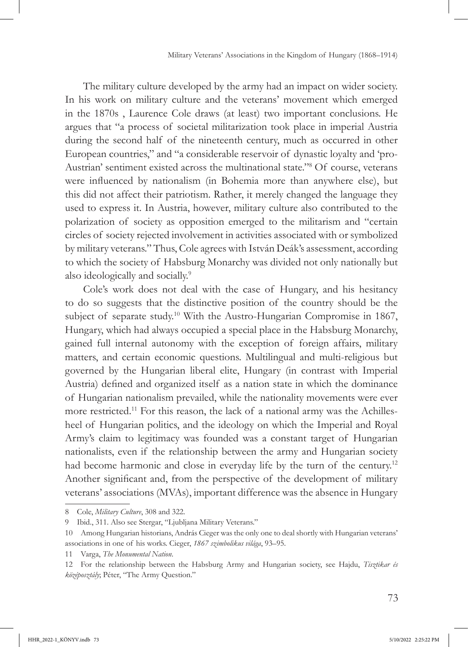The military culture developed by the army had an impact on wider society. In his work on military culture and the veterans' movement which emerged in the 1870s , Laurence Cole draws (at least) two important conclusions. He argues that "a process of societal militarization took place in imperial Austria during the second half of the nineteenth century, much as occurred in other European countries," and "a considerable reservoir of dynastic loyalty and 'pro-Austrian' sentiment existed across the multinational state."<sup>8</sup> Of course, veterans were influenced by nationalism (in Bohemia more than anywhere else), but this did not affect their patriotism. Rather, it merely changed the language they used to express it. In Austria, however, military culture also contributed to the polarization of society as opposition emerged to the militarism and "certain circles of society rejected involvement in activities associated with or symbolized by military veterans." Thus, Cole agrees with István Deák's assessment, according to which the society of Habsburg Monarchy was divided not only nationally but also ideologically and socially.9

Cole's work does not deal with the case of Hungary, and his hesitancy to do so suggests that the distinctive position of the country should be the subject of separate study.<sup>10</sup> With the Austro-Hungarian Compromise in 1867, Hungary, which had always occupied a special place in the Habsburg Monarchy, gained full internal autonomy with the exception of foreign affairs, military matters, and certain economic questions. Multilingual and multi-religious but governed by the Hungarian liberal elite, Hungary (in contrast with Imperial Austria) defined and organized itself as a nation state in which the dominance of Hungarian nationalism prevailed, while the nationality movements were ever more restricted.<sup>11</sup> For this reason, the lack of a national army was the Achillesheel of Hungarian politics, and the ideology on which the Imperial and Royal Army's claim to legitimacy was founded was a constant target of Hungarian nationalists, even if the relationship between the army and Hungarian society had become harmonic and close in everyday life by the turn of the century.<sup>12</sup> Another significant and, from the perspective of the development of military veterans' associations (MVAs), important difference was the absence in Hungary

<sup>8</sup> Cole, *Military Culture*, 308 and 322.

<sup>9</sup> Ibid., 311. Also see Stergar, "Ljubljana Military Veterans."

<sup>10</sup> Among Hungarian historians, András Cieger was the only one to deal shortly with Hungarian veterans' associations in one of his works. Cieger, *1867 szimbolikus világa*, 93–95.

<sup>11</sup> Varga, *The Monumental Nation*.

<sup>12</sup> For the relationship between the Habsburg Army and Hungarian society, see Hajdu, *Tisztikar és középosztály*; Péter, "The Army Question."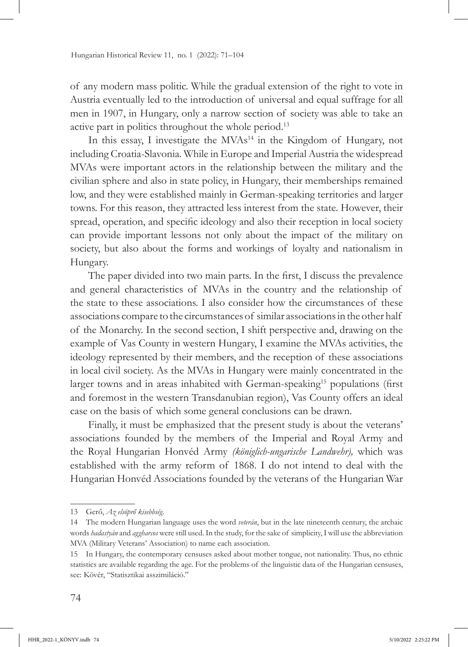of any modern mass politic. While the gradual extension of the right to vote in Austria eventually led to the introduction of universal and equal suffrage for all men in 1907, in Hungary, only a narrow section of society was able to take an active part in politics throughout the whole period.13

In this essay, I investigate the  $MVAs<sup>14</sup>$  in the Kingdom of Hungary, not including Croatia-Slavonia. While in Europe and Imperial Austria the widespread MVAs were important actors in the relationship between the military and the civilian sphere and also in state policy, in Hungary, their memberships remained low, and they were established mainly in German-speaking territories and larger towns. For this reason, they attracted less interest from the state. However, their spread, operation, and specific ideology and also their reception in local society can provide important lessons not only about the impact of the military on society, but also about the forms and workings of loyalty and nationalism in Hungary.

The paper divided into two main parts. In the first, I discuss the prevalence and general characteristics of MVAs in the country and the relationship of the state to these associations. I also consider how the circumstances of these associations compare to the circumstances of similar associations in the other half of the Monarchy. In the second section, I shift perspective and, drawing on the example of Vas County in western Hungary, I examine the MVAs activities, the ideology represented by their members, and the reception of these associations in local civil society. As the MVAs in Hungary were mainly concentrated in the larger towns and in areas inhabited with German-speaking<sup>15</sup> populations (first and foremost in the western Transdanubian region), Vas County offers an ideal case on the basis of which some general conclusions can be drawn.

Finally, it must be emphasized that the present study is about the veterans' associations founded by the members of the Imperial and Royal Army and the Royal Hungarian Honvéd Army *(königlich-ungarische Landwehr),* which was established with the army reform of 1868. I do not intend to deal with the Hungarian Honvéd Associations founded by the veterans of the Hungarian War

<sup>13</sup> Gerő, *Az elsöprő kisebbség*.

<sup>14</sup> The modern Hungarian language uses the word *veterán*, but in the late nineteenth century, the archaic words *hadastyán* and *aggharcos* were still used. In the study, for the sake of simplicity, I will use the abbreviation MVA (Military Veterans' Association) to name each association.

<sup>15</sup> In Hungary, the contemporary censuses asked about mother tongue, not nationality. Thus, no ethnic statistics are available regarding the age. For the problems of the linguistic data of the Hungarian censuses, see: Kövér, "Statisztikai asszimiláció."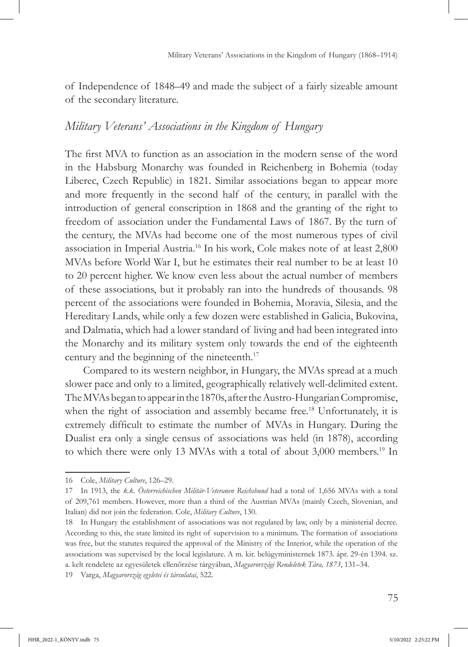of Independence of 1848–49 and made the subject of a fairly sizeable amount of the secondary literature.

# *Military Veterans' Associations in the Kingdom of Hungary*

The first MVA to function as an association in the modern sense of the word in the Habsburg Monarchy was founded in Reichenberg in Bohemia (today Liberec, Czech Republic) in 1821. Similar associations began to appear more and more frequently in the second half of the century, in parallel with the introduction of general conscription in 1868 and the granting of the right to freedom of association under the Fundamental Laws of 1867. By the turn of the century, the MVAs had become one of the most numerous types of civil association in Imperial Austria.16 In his work, Cole makes note of at least 2,800 MVAs before World War I, but he estimates their real number to be at least 10 to 20 percent higher. We know even less about the actual number of members of these associations, but it probably ran into the hundreds of thousands. 98 percent of the associations were founded in Bohemia, Moravia, Silesia, and the Hereditary Lands, while only a few dozen were established in Galicia, Bukovina, and Dalmatia, which had a lower standard of living and had been integrated into the Monarchy and its military system only towards the end of the eighteenth century and the beginning of the nineteenth.<sup>17</sup>

Compared to its western neighbor, in Hungary, the MVAs spread at a much slower pace and only to a limited, geographically relatively well-delimited extent. The MVAs began to appear in the 1870s, after the Austro-Hungarian Compromise, when the right of association and assembly became free.<sup>18</sup> Unfortunately, it is extremely difficult to estimate the number of MVAs in Hungary. During the Dualist era only a single census of associations was held (in 1878), according to which there were only 13 MVAs with a total of about 3,000 members.<sup>19</sup> In

<sup>16</sup> Cole, *Military Culture*, 126–29.

<sup>17</sup> In 1913, the *k.k. Österreichischen Militär-Veteranen Reichsbund* had a total of 1,656 MVAs with a total of 209,761 members. However, more than a third of the Austrian MVAs (mainly Czech, Slovenian, and Italian) did not join the federation. Cole, *Military Culture*, 130.

<sup>18</sup> In Hungary the establishment of associations was not regulated by law, only by a ministerial decree. According to this, the state limited its right of supervision to a minimum. The formation of associations was free, but the statutes required the approval of the Ministry of the Interior, while the operation of the associations was supervised by the local legislature. A m. kir. belügyministernek 1873. ápr. 29-én 1394. sz. a. kelt rendelete az egyesületek ellenőrzése tárgyában, *Magyarországi Rendeletek Tára, 1873*, 131–34.

<sup>19</sup> Varga, *Magyarország egyletei és társulatai*, 522.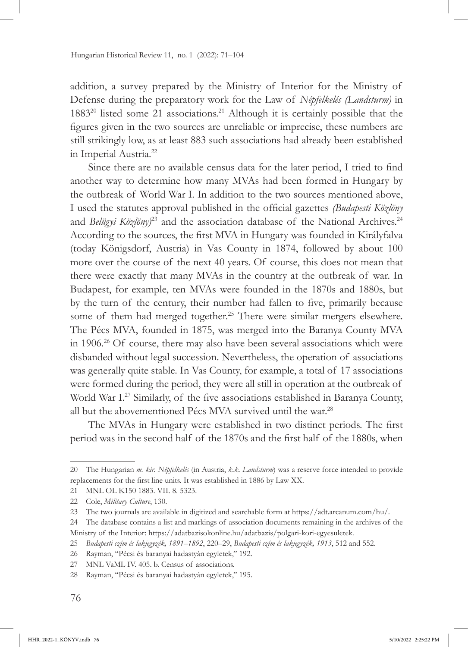addition, a survey prepared by the Ministry of Interior for the Ministry of Defense during the preparatory work for the Law of *Népfelkelés (Landsturm)* in  $1883^{20}$  listed some 21 associations.<sup>21</sup> Although it is certainly possible that the figures given in the two sources are unreliable or imprecise, these numbers are still strikingly low, as at least 883 such associations had already been established in Imperial Austria.<sup>22</sup>

Since there are no available census data for the later period, I tried to find another way to determine how many MVAs had been formed in Hungary by the outbreak of World War I. In addition to the two sources mentioned above, I used the statutes approval published in the official gazettes *(Budapesti Közlöny* and *Belügyi Közlöny*)<sup>23</sup> and the association database of the National Archives.<sup>24</sup> According to the sources, the first MVA in Hungary was founded in Királyfalva (today Königsdorf, Austria) in Vas County in 1874, followed by about 100 more over the course of the next 40 years. Of course, this does not mean that there were exactly that many MVAs in the country at the outbreak of war. In Budapest, for example, ten MVAs were founded in the 1870s and 1880s, but by the turn of the century, their number had fallen to five, primarily because some of them had merged together.<sup>25</sup> There were similar mergers elsewhere. The Pécs MVA, founded in 1875, was merged into the Baranya County MVA in 1906.26 Of course, there may also have been several associations which were disbanded without legal succession. Nevertheless, the operation of associations was generally quite stable. In Vas County, for example, a total of 17 associations were formed during the period, they were all still in operation at the outbreak of World War I.<sup>27</sup> Similarly, of the five associations established in Baranya County, all but the abovementioned Pécs MVA survived until the war.<sup>28</sup>

The MVAs in Hungary were established in two distinct periods. The first period was in the second half of the 1870s and the first half of the 1880s, when

<sup>20</sup> The Hungarian *m. kir. Népfelkelés* (in Austria, *k.k. Landsturm*) was a reserve force intended to provide replacements for the first line units. It was established in 1886 by Law XX.

<sup>21</sup> MNL OL K150 1883. VII. 8. 5323.

<sup>22</sup> Cole, *Military Culture*, 130.

<sup>23</sup> The two journals are available in digitized and searchable form at https://adt.arcanum.com/hu/.

<sup>24</sup> The database contains a list and markings of association documents remaining in the archives of the Ministry of the Interior: https://adatbazisokonline.hu/adatbazis/polgari-kori-egyesuletek.

<sup>25</sup> *Budapesti czím és lakjegyzék, 1891–1892*, 220–29, *Budapesti czím és lakjegyzék, 1913*, 512 and 552.

<sup>26</sup> Rayman, "Pécsi és baranyai hadastyán egyletek," 192.

<sup>27</sup> MNL VaML IV. 405. b. Census of associations.

<sup>28</sup> Rayman, "Pécsi és baranyai hadastyán egyletek," 195.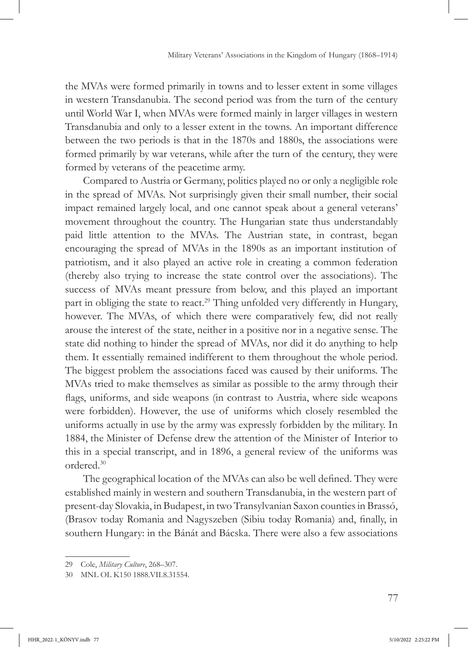the MVAs were formed primarily in towns and to lesser extent in some villages in western Transdanubia. The second period was from the turn of the century until World War I, when MVAs were formed mainly in larger villages in western Transdanubia and only to a lesser extent in the towns. An important difference between the two periods is that in the 1870s and 1880s, the associations were formed primarily by war veterans, while after the turn of the century, they were formed by veterans of the peacetime army.

Compared to Austria or Germany, politics played no or only a negligible role in the spread of MVAs. Not surprisingly given their small number, their social impact remained largely local, and one cannot speak about a general veterans' movement throughout the country. The Hungarian state thus understandably paid little attention to the MVAs. The Austrian state, in contrast, began encouraging the spread of MVAs in the 1890s as an important institution of patriotism, and it also played an active role in creating a common federation (thereby also trying to increase the state control over the associations). The success of MVAs meant pressure from below, and this played an important part in obliging the state to react.<sup>29</sup> Thing unfolded very differently in Hungary, however. The MVAs, of which there were comparatively few, did not really arouse the interest of the state, neither in a positive nor in a negative sense. The state did nothing to hinder the spread of MVAs, nor did it do anything to help them. It essentially remained indifferent to them throughout the whole period. The biggest problem the associations faced was caused by their uniforms. The MVAs tried to make themselves as similar as possible to the army through their flags, uniforms, and side weapons (in contrast to Austria, where side weapons were forbidden). However, the use of uniforms which closely resembled the uniforms actually in use by the army was expressly forbidden by the military. In 1884, the Minister of Defense drew the attention of the Minister of Interior to this in a special transcript, and in 1896, a general review of the uniforms was ordered.30

The geographical location of the MVAs can also be well defined. They were established mainly in western and southern Transdanubia, in the western part of present-day Slovakia, in Budapest, in two Transylvanian Saxon counties in Brassó, (Brasov today Romania and Nagyszeben (Sibiu today Romania) and, finally, in southern Hungary: in the Bánát and Bácska. There were also a few associations

<sup>29</sup> Cole, *Military Culture*, 268–307.

<sup>30</sup> MNL OL K150 1888.VII.8.31554.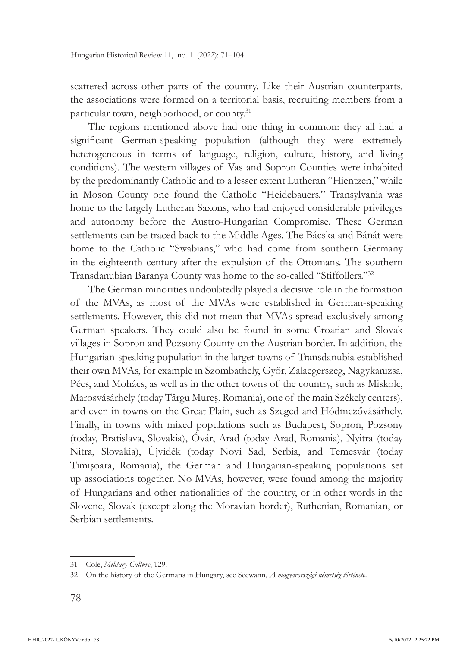scattered across other parts of the country. Like their Austrian counterparts, the associations were formed on a territorial basis, recruiting members from a particular town, neighborhood, or county.<sup>31</sup>

The regions mentioned above had one thing in common: they all had a significant German-speaking population (although they were extremely heterogeneous in terms of language, religion, culture, history, and living conditions). The western villages of Vas and Sopron Counties were inhabited by the predominantly Catholic and to a lesser extent Lutheran "Hientzen," while in Moson County one found the Catholic "Heidebauers." Transylvania was home to the largely Lutheran Saxons, who had enjoyed considerable privileges and autonomy before the Austro-Hungarian Compromise. These German settlements can be traced back to the Middle Ages. The Bácska and Bánát were home to the Catholic "Swabians," who had come from southern Germany in the eighteenth century after the expulsion of the Ottomans. The southern Transdanubian Baranya County was home to the so-called "Stiffollers."<sup>32</sup>

The German minorities undoubtedly played a decisive role in the formation of the MVAs, as most of the MVAs were established in German-speaking settlements. However, this did not mean that MVAs spread exclusively among German speakers. They could also be found in some Croatian and Slovak villages in Sopron and Pozsony County on the Austrian border. In addition, the Hungarian-speaking population in the larger towns of Transdanubia established their own MVAs, for example in Szombathely, Győr, Zalaegerszeg, Nagykanizsa, Pécs, and Mohács, as well as in the other towns of the country, such as Miskolc, Marosvásárhely (today Târgu Mureş, Romania), one of the main Székely centers), and even in towns on the Great Plain, such as Szeged and Hódmezővásárhely. Finally, in towns with mixed populations such as Budapest, Sopron, Pozsony (today, Bratislava, Slovakia), Óvár, Arad (today Arad, Romania), Nyitra (today Nitra, Slovakia), Újvidék (today Novi Sad, Serbia, and Temesvár (today Timişoara, Romania), the German and Hungarian-speaking populations set up associations together. No MVAs, however, were found among the majority of Hungarians and other nationalities of the country, or in other words in the Slovene, Slovak (except along the Moravian border), Ruthenian, Romanian, or Serbian settlements.

<sup>31</sup> Cole, *Military Culture*, 129.

<sup>32</sup> On the history of the Germans in Hungary, see Seewann, *A magyarországi németség története*.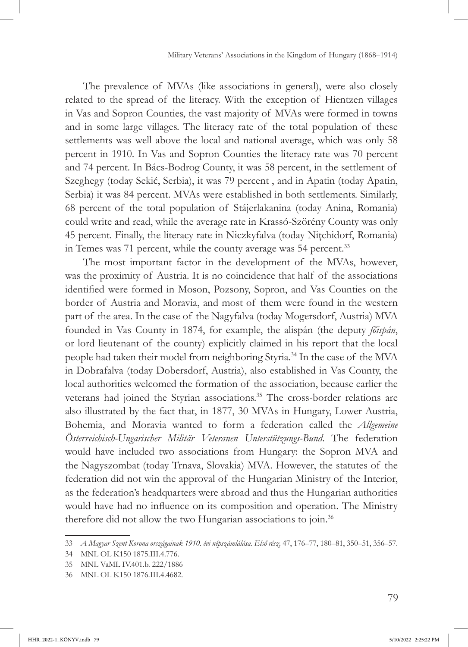The prevalence of MVAs (like associations in general), were also closely related to the spread of the literacy. With the exception of Hientzen villages in Vas and Sopron Counties, the vast majority of MVAs were formed in towns and in some large villages. The literacy rate of the total population of these settlements was well above the local and national average, which was only 58 percent in 1910. In Vas and Sopron Counties the literacy rate was 70 percent and 74 percent. In Bács-Bodrog County, it was 58 percent, in the settlement of Szeghegy (today Sekić, Serbia), it was 79 percent , and in Apatin (today Apatin, Serbia) it was 84 percent. MVAs were established in both settlements. Similarly, 68 percent of the total population of Stájerlakanina (today Anina, Romania) could write and read, while the average rate in Krassó-Szörény County was only 45 percent. Finally, the literacy rate in Niczkyfalva (today Niţchidorf, Romania) in Temes was 71 percent, while the county average was 54 percent.<sup>33</sup>

The most important factor in the development of the MVAs, however, was the proximity of Austria. It is no coincidence that half of the associations identified were formed in Moson, Pozsony, Sopron, and Vas Counties on the border of Austria and Moravia, and most of them were found in the western part of the area. In the case of the Nagyfalva (today Mogersdorf, Austria) MVA founded in Vas County in 1874, for example, the alispán (the deputy *főispán*, or lord lieutenant of the county) explicitly claimed in his report that the local people had taken their model from neighboring Styria.34 In the case of the MVA in Dobrafalva (today Dobersdorf, Austria), also established in Vas County, the local authorities welcomed the formation of the association, because earlier the veterans had joined the Styrian associations.<sup>35</sup> The cross-border relations are also illustrated by the fact that, in 1877, 30 MVAs in Hungary, Lower Austria, Bohemia, and Moravia wanted to form a federation called the *Allgemeine Österreichisch-Ungarischer Militär Veteranen Unterstützungs-Bund*. The federation would have included two associations from Hungary: the Sopron MVA and the Nagyszombat (today Trnava, Slovakia) MVA. However, the statutes of the federation did not win the approval of the Hungarian Ministry of the Interior, as the federation's headquarters were abroad and thus the Hungarian authorities would have had no influence on its composition and operation. The Ministry therefore did not allow the two Hungarian associations to join.<sup>36</sup>

<sup>33</sup> *A Magyar Szent Korona országainak 1910. évi népszámlálása. Első rész,* 47, 176–77, 180–81, 350–51, 356–57.

<sup>34</sup> MNL OL K150 1875.III.4.776.

<sup>35</sup> MNL VaML IV.401.b. 222/1886

<sup>36</sup> MNL OL K150 1876.III.4.4682.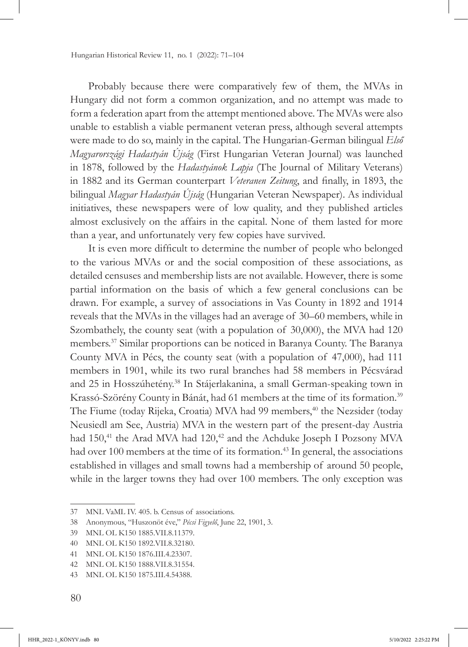Probably because there were comparatively few of them, the MVAs in Hungary did not form a common organization, and no attempt was made to form a federation apart from the attempt mentioned above. The MVAs were also unable to establish a viable permanent veteran press, although several attempts were made to do so, mainly in the capital. The Hungarian-German bilingual *Első Magyarországi Hadastyán Újság* (First Hungarian Veteran Journal) was launched in 1878, followed by the *Hadastyánok Lapja* (The Journal of Military Veterans) in 1882 and its German counterpart *Veteranen Zeitung*, and finally, in 1893, the bilingual *Magyar Hadastyán Újság* (Hungarian Veteran Newspaper). As individual initiatives, these newspapers were of low quality, and they published articles almost exclusively on the affairs in the capital. None of them lasted for more than a year, and unfortunately very few copies have survived.

It is even more difficult to determine the number of people who belonged to the various MVAs or and the social composition of these associations, as detailed censuses and membership lists are not available. However, there is some partial information on the basis of which a few general conclusions can be drawn. For example, a survey of associations in Vas County in 1892 and 1914 reveals that the MVAs in the villages had an average of 30–60 members, while in Szombathely, the county seat (with a population of 30,000), the MVA had 120 members.37 Similar proportions can be noticed in Baranya County. The Baranya County MVA in Pécs, the county seat (with a population of 47,000), had 111 members in 1901, while its two rural branches had 58 members in Pécsvárad and 25 in Hosszúhetény.<sup>38</sup> In Stájerlakanina, a small German-speaking town in Krassó-Szörény County in Bánát, had 61 members at the time of its formation.39 The Fiume (today Rijeka, Croatia) MVA had 99 members,<sup>40</sup> the Nezsider (today Neusiedl am See, Austria) MVA in the western part of the present-day Austria had 150,<sup>41</sup> the Arad MVA had 120,<sup>42</sup> and the Achduke Joseph I Pozsony MVA had over 100 members at the time of its formation.<sup>43</sup> In general, the associations established in villages and small towns had a membership of around 50 people, while in the larger towns they had over 100 members. The only exception was

<sup>37</sup> MNL VaML IV. 405. b. Census of associations.

<sup>38</sup> Anonymous, "Huszonöt éve," *Pécsi Figyelő*, June 22, 1901, 3.

<sup>39</sup> MNL OL K150 1885.VII.8.11379.

<sup>40</sup> MNL OL K150 1892.VII.8.32180.

<sup>41</sup> MNL OL K150 1876.III.4.23307.

<sup>42</sup> MNL OL K150 1888.VII.8.31554.

<sup>43</sup> MNL OL K150 1875.III.4.54388.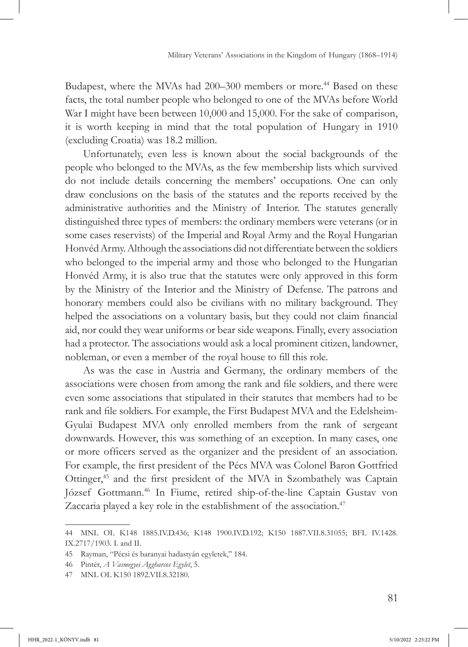Budapest, where the MVAs had 200–300 members or more.<sup>44</sup> Based on these facts, the total number people who belonged to one of the MVAs before World War I might have been between 10,000 and 15,000. For the sake of comparison, it is worth keeping in mind that the total population of Hungary in 1910 (excluding Croatia) was 18.2 million.

Unfortunately, even less is known about the social backgrounds of the people who belonged to the MVAs, as the few membership lists which survived do not include details concerning the members' occupations. One can only draw conclusions on the basis of the statutes and the reports received by the administrative authorities and the Ministry of Interior. The statutes generally distinguished three types of members: the ordinary members were veterans (or in some cases reservists) of the Imperial and Royal Army and the Royal Hungarian Honvéd Army. Although the associations did not differentiate between the soldiers who belonged to the imperial army and those who belonged to the Hungarian Honvéd Army, it is also true that the statutes were only approved in this form by the Ministry of the Interior and the Ministry of Defense. The patrons and honorary members could also be civilians with no military background. They helped the associations on a voluntary basis, but they could not claim financial aid, nor could they wear uniforms or bear side weapons. Finally, every association had a protector. The associations would ask a local prominent citizen, landowner, nobleman, or even a member of the royal house to fill this role.

As was the case in Austria and Germany, the ordinary members of the associations were chosen from among the rank and file soldiers, and there were even some associations that stipulated in their statutes that members had to be rank and file soldiers. For example, the First Budapest MVA and the Edelsheim-Gyulai Budapest MVA only enrolled members from the rank of sergeant downwards. However, this was something of an exception. In many cases, one or more officers served as the organizer and the president of an association. For example, the first president of the Pécs MVA was Colonel Baron Gottfried Ottinger,<sup>45</sup> and the first president of the MVA in Szombathely was Captain József Gottmann.46 In Fiume, retired ship-of-the-line Captain Gustav von Zaccaria played a key role in the establishment of the association.<sup>47</sup>

<sup>44</sup> MNL OL K148 1885.IV.D.436; K148 1900.IV.D.192; K150 1887.VII.8.31055; BFL IV.1428. IX.2717/1903. I. and II.

<sup>45</sup> Rayman, "Pécsi és baranyai hadastyán egyletek," 184.

<sup>46</sup> Pintér, *A Vasmegyei Aggharcos Egylet*, 5.

<sup>47</sup> MNL OL K150 1892.VII.8.32180.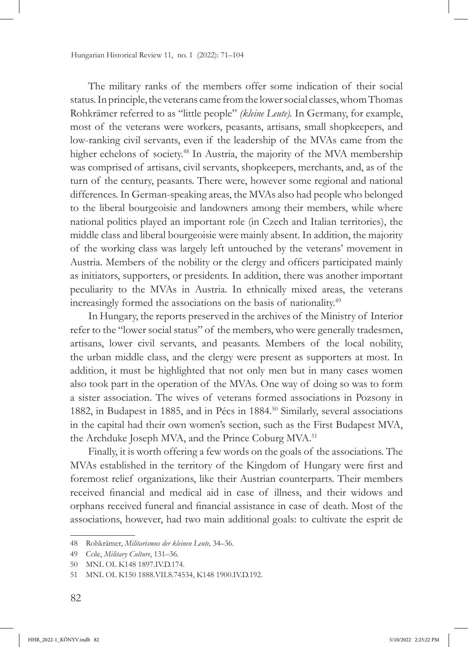The military ranks of the members offer some indication of their social status. In principle, the veterans came from the lower social classes, whom Thomas Rohkrämer referred to as "little people" *(kleine Leute).* In Germany, for example, most of the veterans were workers, peasants, artisans, small shopkeepers, and low-ranking civil servants, even if the leadership of the MVAs came from the higher echelons of society.<sup>48</sup> In Austria, the majority of the MVA membership was comprised of artisans, civil servants, shopkeepers, merchants, and, as of the turn of the century, peasants. There were, however some regional and national differences. In German-speaking areas, the MVAs also had people who belonged to the liberal bourgeoisie and landowners among their members, while where national politics played an important role (in Czech and Italian territories), the middle class and liberal bourgeoisie were mainly absent. In addition, the majority of the working class was largely left untouched by the veterans' movement in Austria. Members of the nobility or the clergy and officers participated mainly as initiators, supporters, or presidents. In addition, there was another important peculiarity to the MVAs in Austria. In ethnically mixed areas, the veterans increasingly formed the associations on the basis of nationality.49

In Hungary, the reports preserved in the archives of the Ministry of Interior refer to the "lower social status" of the members, who were generally tradesmen, artisans, lower civil servants, and peasants. Members of the local nobility, the urban middle class, and the clergy were present as supporters at most. In addition, it must be highlighted that not only men but in many cases women also took part in the operation of the MVAs. One way of doing so was to form a sister association. The wives of veterans formed associations in Pozsony in 1882, in Budapest in 1885, and in Pécs in 1884.<sup>50</sup> Similarly, several associations in the capital had their own women's section, such as the First Budapest MVA, the Archduke Joseph MVA, and the Prince Coburg MVA.<sup>51</sup>

Finally, it is worth offering a few words on the goals of the associations. The MVAs established in the territory of the Kingdom of Hungary were first and foremost relief organizations, like their Austrian counterparts. Their members received financial and medical aid in case of illness, and their widows and orphans received funeral and financial assistance in case of death. Most of the associations, however, had two main additional goals: to cultivate the esprit de

<sup>48</sup> Rohkrämer, *Militarismus der kleinen Leute,* 34–36.

<sup>49</sup> Cole, *Military Culture*, 131–36.

<sup>50</sup> MNL OL K148 1897.IV.D.174.

<sup>51</sup> MNL OL K150 1888.VII.8.74534, K148 1900.IV.D.192.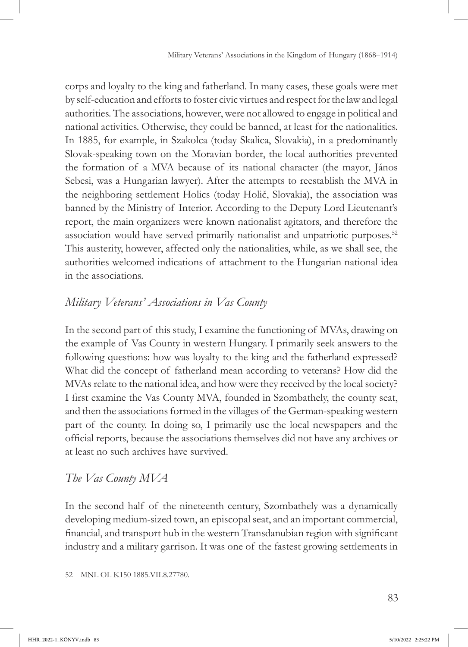corps and loyalty to the king and fatherland. In many cases, these goals were met by self-education and efforts to foster civic virtues and respect for the law and legal authorities. The associations, however, were not allowed to engage in political and national activities. Otherwise, they could be banned, at least for the nationalities. In 1885, for example, in Szakolca (today Skalica, Slovakia), in a predominantly Slovak-speaking town on the Moravian border, the local authorities prevented the formation of a MVA because of its national character (the mayor, János Sebesi, was a Hungarian lawyer). After the attempts to reestablish the MVA in the neighboring settlement Holics (today Holič, Slovakia), the association was banned by the Ministry of Interior. According to the Deputy Lord Lieutenant's report, the main organizers were known nationalist agitators, and therefore the association would have served primarily nationalist and unpatriotic purposes.<sup>52</sup> This austerity, however, affected only the nationalities, while, as we shall see, the authorities welcomed indications of attachment to the Hungarian national idea in the associations.

# *Military Veterans' Associations in Vas County*

In the second part of this study, I examine the functioning of MVAs, drawing on the example of Vas County in western Hungary. I primarily seek answers to the following questions: how was loyalty to the king and the fatherland expressed? What did the concept of fatherland mean according to veterans? How did the MVAs relate to the national idea, and how were they received by the local society? I first examine the Vas County MVA, founded in Szombathely, the county seat, and then the associations formed in the villages of the German-speaking western part of the county. In doing so, I primarily use the local newspapers and the official reports, because the associations themselves did not have any archives or at least no such archives have survived.

# *The Vas County MVA*

In the second half of the nineteenth century, Szombathely was a dynamically developing medium-sized town, an episcopal seat, and an important commercial, financial, and transport hub in the western Transdanubian region with significant industry and a military garrison. It was one of the fastest growing settlements in

<sup>52</sup> MNL OL K150 1885.VII.8.27780.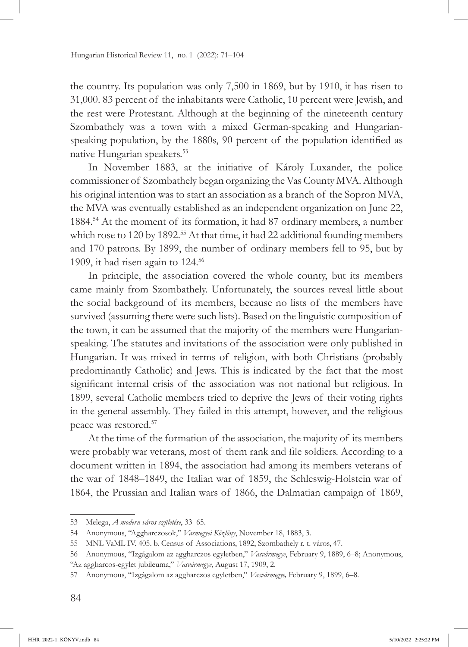the country. Its population was only 7,500 in 1869, but by 1910, it has risen to 31,000. 83 percent of the inhabitants were Catholic, 10 percent were Jewish, and the rest were Protestant. Although at the beginning of the nineteenth century Szombathely was a town with a mixed German-speaking and Hungarianspeaking population, by the 1880s, 90 percent of the population identified as native Hungarian speakers.<sup>53</sup>

In November 1883, at the initiative of Károly Luxander, the police commissioner of Szombathely began organizing the Vas County MVA. Although his original intention was to start an association as a branch of the Sopron MVA, the MVA was eventually established as an independent organization on June 22, 1884.54 At the moment of its formation, it had 87 ordinary members, a number which rose to 120 by 1892.<sup>55</sup> At that time, it had 22 additional founding members and 170 patrons. By 1899, the number of ordinary members fell to 95, but by 1909, it had risen again to 124.56

In principle, the association covered the whole county, but its members came mainly from Szombathely. Unfortunately, the sources reveal little about the social background of its members, because no lists of the members have survived (assuming there were such lists). Based on the linguistic composition of the town, it can be assumed that the majority of the members were Hungarianspeaking. The statutes and invitations of the association were only published in Hungarian. It was mixed in terms of religion, with both Christians (probably predominantly Catholic) and Jews. This is indicated by the fact that the most significant internal crisis of the association was not national but religious. In 1899, several Catholic members tried to deprive the Jews of their voting rights in the general assembly. They failed in this attempt, however, and the religious peace was restored.57

At the time of the formation of the association, the majority of its members were probably war veterans, most of them rank and file soldiers. According to a document written in 1894, the association had among its members veterans of the war of 1848–1849, the Italian war of 1859, the Schleswig-Holstein war of 1864, the Prussian and Italian wars of 1866, the Dalmatian campaign of 1869,

<sup>53</sup> Melega, *A modern város születése*, 33–65.

<sup>54</sup> Anonymous, "Aggharczosok," *Vasmegyei Közlöny*, November 18, 1883, 3.

<sup>55</sup> MNL VaML IV. 405. b. Census of Associations, 1892, Szombathely r. t. város, 47.

<sup>56</sup> Anonymous, "Izgágalom az aggharczos egyletben," *Vasvármegye*, February 9, 1889, 6–8; Anonymous, "Az aggharcos-egylet jubileuma," *Vasvármegye*, August 17, 1909, 2.

<sup>57</sup> Anonymous, "Izgágalom az aggharczos egyletben," *Vasvármegye,* February 9, 1899, 6–8.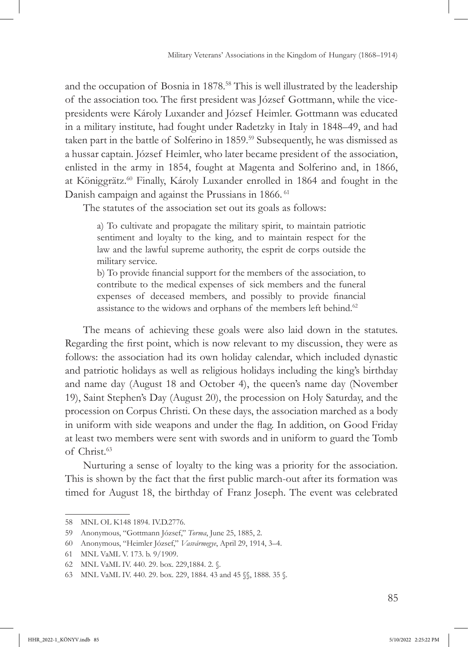and the occupation of Bosnia in 1878.<sup>58</sup> This is well illustrated by the leadership of the association too. The first president was József Gottmann, while the vicepresidents were Károly Luxander and József Heimler. Gottmann was educated in a military institute, had fought under Radetzky in Italy in 1848–49, and had taken part in the battle of Solferino in 1859.<sup>59</sup> Subsequently, he was dismissed as a hussar captain. József Heimler, who later became president of the association, enlisted in the army in 1854, fought at Magenta and Solferino and, in 1866, at Königgrätz.60 Finally, Károly Luxander enrolled in 1864 and fought in the Danish campaign and against the Prussians in 1866.<sup>61</sup>

The statutes of the association set out its goals as follows:

a) To cultivate and propagate the military spirit, to maintain patriotic sentiment and loyalty to the king, and to maintain respect for the law and the lawful supreme authority, the esprit de corps outside the military service.

b) To provide financial support for the members of the association, to contribute to the medical expenses of sick members and the funeral expenses of deceased members, and possibly to provide financial assistance to the widows and orphans of the members left behind.<sup>62</sup>

The means of achieving these goals were also laid down in the statutes. Regarding the first point, which is now relevant to my discussion, they were as follows: the association had its own holiday calendar, which included dynastic and patriotic holidays as well as religious holidays including the king's birthday and name day (August 18 and October 4), the queen's name day (November 19), Saint Stephen's Day (August 20), the procession on Holy Saturday, and the procession on Corpus Christi. On these days, the association marched as a body in uniform with side weapons and under the flag. In addition, on Good Friday at least two members were sent with swords and in uniform to guard the Tomb of Christ.63

Nurturing a sense of loyalty to the king was a priority for the association. This is shown by the fact that the first public march-out after its formation was timed for August 18, the birthday of Franz Joseph. The event was celebrated

<sup>58</sup> MNL OL K148 1894. IV.D.2776.

<sup>59</sup> Anonymous, "Gottmann József," *Torma*, June 25, 1885, 2.

<sup>60</sup> Anonymous, "Heimler József," *Vasvármegye*, April 29, 1914, 3–4.

<sup>61</sup> MNL VaML V. 173. b. 9/1909.

<sup>62</sup> MNL VaML IV. 440. 29. box. 229,1884. 2. §.

<sup>63</sup> MNL VaML IV. 440. 29. box. 229, 1884. 43 and 45 §§, 1888. 35 §.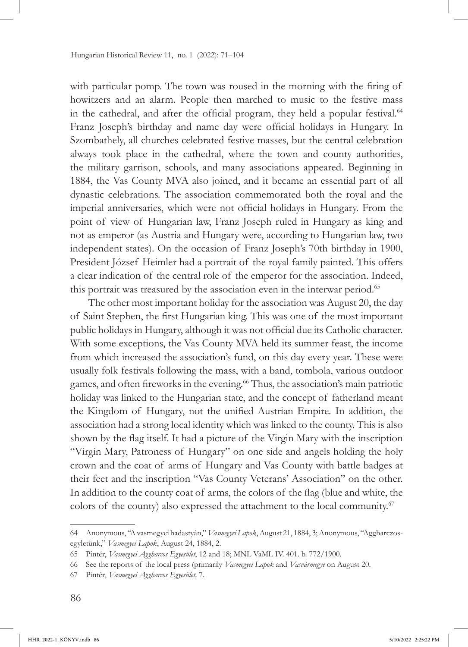with particular pomp. The town was roused in the morning with the firing of howitzers and an alarm. People then marched to music to the festive mass in the cathedral, and after the official program, they held a popular festival.<sup>64</sup> Franz Joseph's birthday and name day were official holidays in Hungary. In Szombathely, all churches celebrated festive masses, but the central celebration always took place in the cathedral, where the town and county authorities, the military garrison, schools, and many associations appeared. Beginning in 1884, the Vas County MVA also joined, and it became an essential part of all dynastic celebrations. The association commemorated both the royal and the imperial anniversaries, which were not official holidays in Hungary. From the point of view of Hungarian law, Franz Joseph ruled in Hungary as king and not as emperor (as Austria and Hungary were, according to Hungarian law, two independent states). On the occasion of Franz Joseph's 70th birthday in 1900, President József Heimler had a portrait of the royal family painted. This offers a clear indication of the central role of the emperor for the association. Indeed, this portrait was treasured by the association even in the interwar period.<sup>65</sup>

The other most important holiday for the association was August 20, the day of Saint Stephen, the first Hungarian king. This was one of the most important public holidays in Hungary, although it was not official due its Catholic character. With some exceptions, the Vas County MVA held its summer feast, the income from which increased the association's fund, on this day every year. These were usually folk festivals following the mass, with a band, tombola, various outdoor games, and often fireworks in the evening.66 Thus, the association's main patriotic holiday was linked to the Hungarian state, and the concept of fatherland meant the Kingdom of Hungary, not the unified Austrian Empire. In addition, the association had a strong local identity which was linked to the county. This is also shown by the flag itself. It had a picture of the Virgin Mary with the inscription "Virgin Mary, Patroness of Hungary" on one side and angels holding the holy crown and the coat of arms of Hungary and Vas County with battle badges at their feet and the inscription "Vas County Veterans' Association" on the other. In addition to the county coat of arms, the colors of the flag (blue and white, the colors of the county) also expressed the attachment to the local community.<sup>67</sup>

<sup>64</sup> Anonymous, "A vasmegyei hadastyán," *Vasmegyei Lapok*, August 21, 1884, 3; Anonymous, "Aggharczosegyletünk," *Vasmegyei Lapok*, August 24, 1884, 2.

<sup>65</sup> Pintér, *Vasmegyei Aggharcos Egyesület*, 12 and 18; MNL VaML IV. 401. b. 772/1900.

<sup>66</sup> See the reports of the local press (primarily *Vasmegyei Lapok* and *Vasvármegye* on August 20.

<sup>67</sup> Pintér, *Vasmegyei Aggharcos Egyesület,* 7.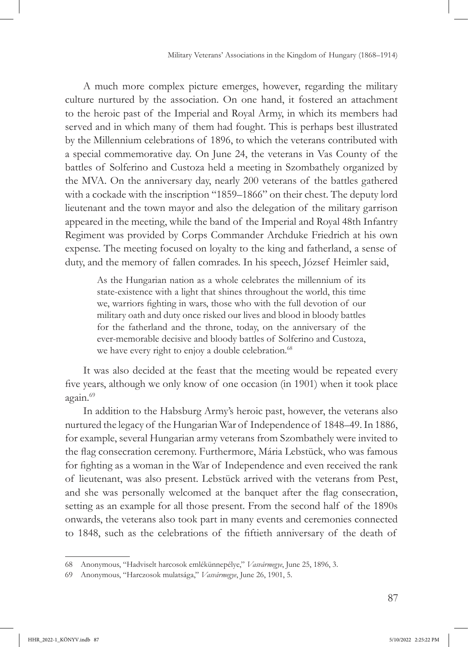A much more complex picture emerges, however, regarding the military culture nurtured by the association. On one hand, it fostered an attachment to the heroic past of the Imperial and Royal Army, in which its members had served and in which many of them had fought. This is perhaps best illustrated by the Millennium celebrations of 1896, to which the veterans contributed with a special commemorative day. On June 24, the veterans in Vas County of the battles of Solferino and Custoza held a meeting in Szombathely organized by the MVA. On the anniversary day, nearly 200 veterans of the battles gathered with a cockade with the inscription "1859–1866" on their chest. The deputy lord lieutenant and the town mayor and also the delegation of the military garrison appeared in the meeting, while the band of the Imperial and Royal 48th Infantry Regiment was provided by Corps Commander Archduke Friedrich at his own expense. The meeting focused on loyalty to the king and fatherland, a sense of duty, and the memory of fallen comrades. In his speech, József Heimler said,

As the Hungarian nation as a whole celebrates the millennium of its state-existence with a light that shines throughout the world, this time we, warriors fighting in wars, those who with the full devotion of our military oath and duty once risked our lives and blood in bloody battles for the fatherland and the throne, today, on the anniversary of the ever-memorable decisive and bloody battles of Solferino and Custoza, we have every right to enjoy a double celebration.<sup>68</sup>

It was also decided at the feast that the meeting would be repeated every five years, although we only know of one occasion (in 1901) when it took place again.<sup>69</sup>

In addition to the Habsburg Army's heroic past, however, the veterans also nurtured the legacy of the Hungarian War of Independence of 1848–49. In 1886, for example, several Hungarian army veterans from Szombathely were invited to the flag consecration ceremony. Furthermore, Mária Lebstück, who was famous for fighting as a woman in the War of Independence and even received the rank of lieutenant, was also present. Lebstück arrived with the veterans from Pest, and she was personally welcomed at the banquet after the flag consecration, setting as an example for all those present. From the second half of the 1890s onwards, the veterans also took part in many events and ceremonies connected to 1848, such as the celebrations of the fiftieth anniversary of the death of

<sup>68</sup> Anonymous, "Hadviselt harcosok emlékünnepélye," *Vasvármegye*, June 25, 1896, 3.

<sup>69</sup> Anonymous, "Harczosok mulatsága," *Vasvármegye*, June 26, 1901, 5.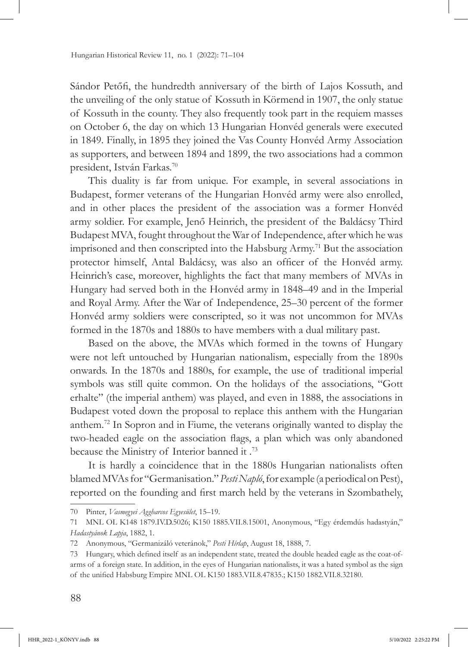Sándor Petőfi, the hundredth anniversary of the birth of Lajos Kossuth, and the unveiling of the only statue of Kossuth in Körmend in 1907, the only statue of Kossuth in the county. They also frequently took part in the requiem masses on October 6, the day on which 13 Hungarian Honvéd generals were executed in 1849. Finally, in 1895 they joined the Vas County Honvéd Army Association as supporters, and between 1894 and 1899, the two associations had a common president, István Farkas.70

This duality is far from unique. For example, in several associations in Budapest, former veterans of the Hungarian Honvéd army were also enrolled, and in other places the president of the association was a former Honvéd army soldier. For example, Jenő Heinrich, the president of the Baldácsy Third Budapest MVA, fought throughout the War of Independence, after which he was imprisoned and then conscripted into the Habsburg Army.<sup>71</sup> But the association protector himself, Antal Baldácsy, was also an officer of the Honvéd army. Heinrich's case, moreover, highlights the fact that many members of MVAs in Hungary had served both in the Honvéd army in 1848–49 and in the Imperial and Royal Army. After the War of Independence, 25–30 percent of the former Honvéd army soldiers were conscripted, so it was not uncommon for MVAs formed in the 1870s and 1880s to have members with a dual military past.

Based on the above, the MVAs which formed in the towns of Hungary were not left untouched by Hungarian nationalism, especially from the 1890s onwards. In the 1870s and 1880s, for example, the use of traditional imperial symbols was still quite common. On the holidays of the associations, "Gott erhalte" (the imperial anthem) was played, and even in 1888, the associations in Budapest voted down the proposal to replace this anthem with the Hungarian anthem.72 In Sopron and in Fiume, the veterans originally wanted to display the two-headed eagle on the association flags, a plan which was only abandoned because the Ministry of Interior banned it .73

It is hardly a coincidence that in the 1880s Hungarian nationalists often blamed MVAs for "Germanisation." *Pesti Napló*, for example (a periodical on Pest), reported on the founding and first march held by the veterans in Szombathely,

<sup>70</sup> Pinter, *Vasmegyei Aggharcos Egyesület*, 15–19.

<sup>71</sup> MNL OL K148 1879.IV.D.5026; K150 1885.VII.8.15001, Anonymous, "Egy érdemdús hadastyán," *Hadastyánok Lapja*, 1882, 1.

<sup>72</sup> Anonymous, "Germanizáló veteránok," *Pesti Hírlap*, August 18, 1888, 7.

<sup>73</sup> Hungary, which defined itself as an independent state, treated the double headed eagle as the coat-ofarms of a foreign state. In addition, in the eyes of Hungarian nationalists, it was a hated symbol as the sign of the unified Habsburg Empire MNL OL K150 1883.VII.8.47835.; K150 1882.VII.8.32180.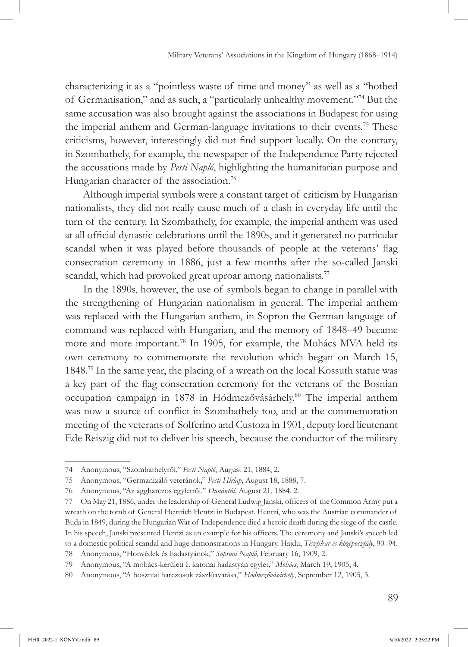characterizing it as a "pointless waste of time and money" as well as a "hotbed of Germanisation," and as such, a "particularly unhealthy movement."74 But the same accusation was also brought against the associations in Budapest for using the imperial anthem and German-language invitations to their events.<sup>75</sup> These criticisms, however, interestingly did not find support locally. On the contrary, in Szombathely, for example, the newspaper of the Independence Party rejected the accusations made by *Pesti Napló*, highlighting the humanitarian purpose and Hungarian character of the association.<sup>76</sup>

Although imperial symbols were a constant target of criticism by Hungarian nationalists, they did not really cause much of a clash in everyday life until the turn of the century. In Szombathely, for example, the imperial anthem was used at all official dynastic celebrations until the 1890s, and it generated no particular scandal when it was played before thousands of people at the veterans' flag consecration ceremony in 1886, just a few months after the so-called Janski scandal, which had provoked great uproar among nationalists.<sup>77</sup>

In the 1890s, however, the use of symbols began to change in parallel with the strengthening of Hungarian nationalism in general. The imperial anthem was replaced with the Hungarian anthem, in Sopron the German language of command was replaced with Hungarian, and the memory of 1848–49 became more and more important.78 In 1905, for example, the Mohács MVA held its own ceremony to commemorate the revolution which began on March 15, 1848.79 In the same year, the placing of a wreath on the local Kossuth statue was a key part of the flag consecration ceremony for the veterans of the Bosnian occupation campaign in 1878 in Hódmezővásárhely.80 The imperial anthem was now a source of conflict in Szombathely too, and at the commemoration meeting of the veterans of Solferino and Custoza in 1901, deputy lord lieutenant Ede Reiszig did not to deliver his speech, because the conductor of the military

<sup>74</sup> Anonymous, "Szombathelyről," *Pesti Napló*, August 21, 1884, 2.

<sup>75</sup> Anonymous, "Germanizáló veteránok," *Pesti Hírlap*, August 18, 1888, 7.

<sup>76</sup> Anonymous, "Az aggharczos egyletről," *Dunántúl*, August 21, 1884, 2.

<sup>77</sup> On May 21, 1886, under the leadership of General Ludwig Janski, officers of the Common Army put a wreath on the tomb of General Heinrich Hentzi in Budapest. Hentzi, who was the Austrian commander of Buda in 1849, during the Hungarian War of Independence died a heroic death during the siege of the castle. In his speech, Janski presented Hentzi as an example for his officers. The ceremony and Janski's speech led to a domestic political scandal and huge demonstrations in Hungary. Hajdu, *Tisztikar és középosztály*, 90–94.

<sup>78</sup> Anonymous, "Honvédek és hadastyánok," *Soproni Napló*, February 16, 1909, 2.

<sup>79</sup> Anonymous, "A mohács-kerületi I. katonai hadastyán egylet," *Mohács*, March 19, 1905, 4.

<sup>80</sup> Anonymous, "A boszniai harczosok zászlóavatása," *Hódmezővásárhely*, September 12, 1905, 3.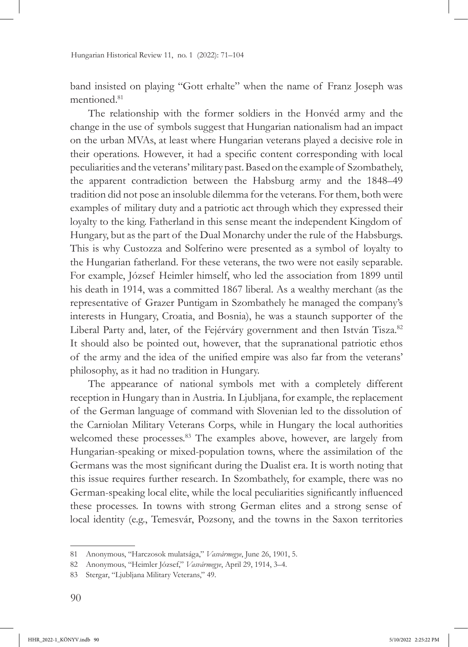band insisted on playing "Gott erhalte" when the name of Franz Joseph was mentioned.<sup>81</sup>

The relationship with the former soldiers in the Honvéd army and the change in the use of symbols suggest that Hungarian nationalism had an impact on the urban MVAs, at least where Hungarian veterans played a decisive role in their operations. However, it had a specific content corresponding with local peculiarities and the veterans' military past. Based on the example of Szombathely, the apparent contradiction between the Habsburg army and the 1848–49 tradition did not pose an insoluble dilemma for the veterans. For them, both were examples of military duty and a patriotic act through which they expressed their loyalty to the king. Fatherland in this sense meant the independent Kingdom of Hungary, but as the part of the Dual Monarchy under the rule of the Habsburgs. This is why Custozza and Solferino were presented as a symbol of loyalty to the Hungarian fatherland. For these veterans, the two were not easily separable. For example, József Heimler himself, who led the association from 1899 until his death in 1914, was a committed 1867 liberal. As a wealthy merchant (as the representative of Grazer Puntigam in Szombathely he managed the company's interests in Hungary, Croatia, and Bosnia), he was a staunch supporter of the Liberal Party and, later, of the Fejérváry government and then István Tisza.<sup>82</sup> It should also be pointed out, however, that the supranational patriotic ethos of the army and the idea of the unified empire was also far from the veterans' philosophy, as it had no tradition in Hungary.

The appearance of national symbols met with a completely different reception in Hungary than in Austria. In Ljubljana, for example, the replacement of the German language of command with Slovenian led to the dissolution of the Carniolan Military Veterans Corps, while in Hungary the local authorities welcomed these processes.<sup>83</sup> The examples above, however, are largely from Hungarian-speaking or mixed-population towns, where the assimilation of the Germans was the most significant during the Dualist era. It is worth noting that this issue requires further research. In Szombathely, for example, there was no German-speaking local elite, while the local peculiarities significantly influenced these processes. In towns with strong German elites and a strong sense of local identity (e.g., Temesvár, Pozsony, and the towns in the Saxon territories

<sup>81</sup> Anonymous, "Harczosok mulatsága," *Vasvármegye*, June 26, 1901, 5.

<sup>82</sup> Anonymous, "Heimler József," *Vasvármegye*, April 29, 1914, 3–4.

<sup>83</sup> Stergar, "Ljubljana Military Veterans," 49.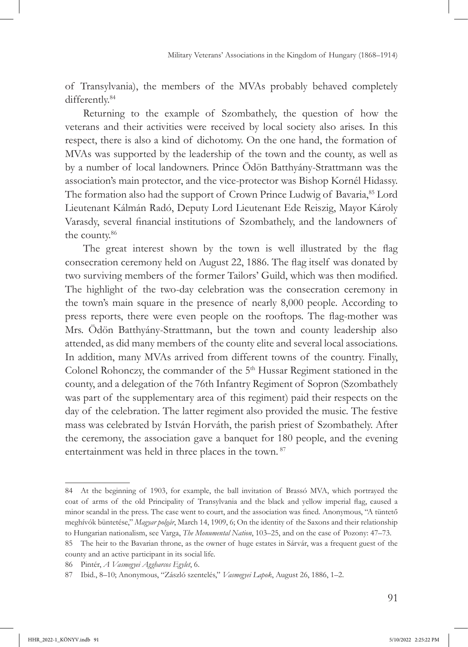of Transylvania), the members of the MVAs probably behaved completely differently.<sup>84</sup>

Returning to the example of Szombathely, the question of how the veterans and their activities were received by local society also arises. In this respect, there is also a kind of dichotomy. On the one hand, the formation of MVAs was supported by the leadership of the town and the county, as well as by a number of local landowners. Prince Ödön Batthyány-Strattmann was the association's main protector, and the vice-protector was Bishop Kornél Hidassy. The formation also had the support of Crown Prince Ludwig of Bavaria, <sup>85</sup> Lord Lieutenant Kálmán Radó, Deputy Lord Lieutenant Ede Reiszig, Mayor Károly Varasdy, several financial institutions of Szombathely, and the landowners of the county.<sup>86</sup>

The great interest shown by the town is well illustrated by the flag consecration ceremony held on August 22, 1886. The flag itself was donated by two surviving members of the former Tailors' Guild, which was then modified. The highlight of the two-day celebration was the consecration ceremony in the town's main square in the presence of nearly 8,000 people. According to press reports, there were even people on the rooftops. The flag-mother was Mrs. Ödön Batthyány-Strattmann, but the town and county leadership also attended, as did many members of the county elite and several local associations. In addition, many MVAs arrived from different towns of the country. Finally, Colonel Rohonczy, the commander of the 5<sup>th</sup> Hussar Regiment stationed in the county, and a delegation of the 76th Infantry Regiment of Sopron (Szombathely was part of the supplementary area of this regiment) paid their respects on the day of the celebration. The latter regiment also provided the music. The festive mass was celebrated by István Horváth, the parish priest of Szombathely. After the ceremony, the association gave a banquet for 180 people, and the evening entertainment was held in three places in the town. 87

<sup>84</sup> At the beginning of 1903, for example, the ball invitation of Brassó MVA, which portrayed the coat of arms of the old Principality of Transylvania and the black and yellow imperial flag, caused a minor scandal in the press. The case went to court, and the association was fined. Anonymous, "A tüntető meghívók büntetése," *Magyar polgár*, March 14, 1909, 6; On the identity of the Saxons and their relationship to Hungarian nationalism, see Varga, *The Monumental Nation*, 103–25, and on the case of Pozony: 47–73.

<sup>85</sup> The heir to the Bavarian throne, as the owner of huge estates in Sárvár, was a frequent guest of the county and an active participant in its social life.

<sup>86</sup> Pintér, *A Vasmegyei Aggharcos Egylet*, 6.

<sup>87</sup> Ibid., 8–10; Anonymous, "Zászló szentelés," *Vasmegyei Lapok*, August 26, 1886, 1–2.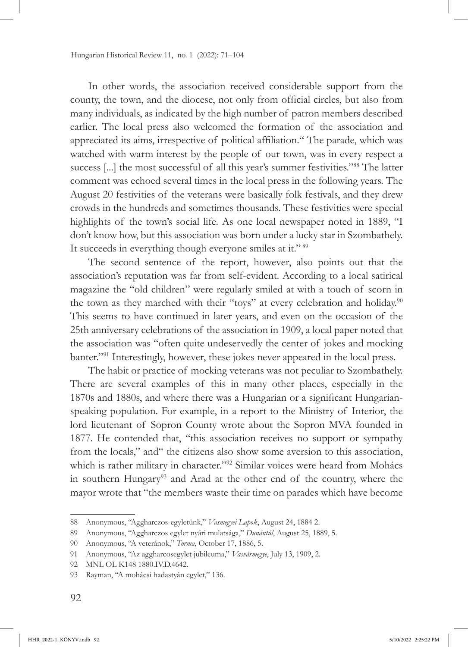In other words, the association received considerable support from the county, the town, and the diocese, not only from official circles, but also from many individuals, as indicated by the high number of patron members described earlier. The local press also welcomed the formation of the association and appreciated its aims, irrespective of political affiliation." The parade, which was watched with warm interest by the people of our town, was in every respect a success [...] the most successful of all this year's summer festivities."88 The latter comment was echoed several times in the local press in the following years. The August 20 festivities of the veterans were basically folk festivals, and they drew crowds in the hundreds and sometimes thousands. These festivities were special highlights of the town's social life. As one local newspaper noted in 1889, "I don't know how, but this association was born under a lucky star in Szombathely. It succeeds in everything though everyone smiles at it."<sup>89</sup>

The second sentence of the report, however, also points out that the association's reputation was far from self-evident. According to a local satirical magazine the "old children" were regularly smiled at with a touch of scorn in the town as they marched with their "toys" at every celebration and holiday.<sup>90</sup> This seems to have continued in later years, and even on the occasion of the 25th anniversary celebrations of the association in 1909, a local paper noted that the association was "often quite undeservedly the center of jokes and mocking banter."<sup>91</sup> Interestingly, however, these jokes never appeared in the local press.

The habit or practice of mocking veterans was not peculiar to Szombathely. There are several examples of this in many other places, especially in the 1870s and 1880s, and where there was a Hungarian or a significant Hungarianspeaking population. For example, in a report to the Ministry of Interior, the lord lieutenant of Sopron County wrote about the Sopron MVA founded in 1877. He contended that, "this association receives no support or sympathy from the locals," and" the citizens also show some aversion to this association, which is rather military in character."<sup>92</sup> Similar voices were heard from Mohács in southern Hungary<sup>93</sup> and Arad at the other end of the country, where the mayor wrote that "the members waste their time on parades which have become

<sup>88</sup> Anonymous, "Aggharczos-egyletünk," *Vasmegyei Lapok*, August 24, 1884 2.

<sup>89</sup> Anonymous, "Aggharczos egylet nyári mulatsága," *Dunántúl*, August 25, 1889, 5.

<sup>90</sup> Anonymous, "A veteránok," *Torma*, October 17, 1886, 5.

<sup>91</sup> Anonymous, "Az aggharcosegylet jubileuma," *Vasvármegye*, July 13, 1909, 2.

<sup>92</sup> MNL OL K148 1880.IV.D.4642.

<sup>93</sup> Rayman, "A mohácsi hadastyán egylet," 136.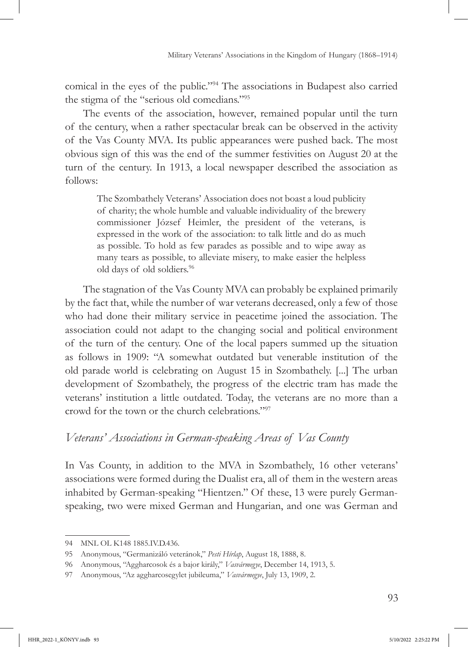comical in the eyes of the public."94 The associations in Budapest also carried the stigma of the "serious old comedians."<sup>95</sup>

The events of the association, however, remained popular until the turn of the century, when a rather spectacular break can be observed in the activity of the Vas County MVA. Its public appearances were pushed back. The most obvious sign of this was the end of the summer festivities on August 20 at the turn of the century. In 1913, a local newspaper described the association as follows:

The Szombathely Veterans' Association does not boast a loud publicity of charity; the whole humble and valuable individuality of the brewery commissioner József Heimler, the president of the veterans, is expressed in the work of the association: to talk little and do as much as possible. To hold as few parades as possible and to wipe away as many tears as possible, to alleviate misery, to make easier the helpless old days of old soldiers.<sup>96</sup>

The stagnation of the Vas County MVA can probably be explained primarily by the fact that, while the number of war veterans decreased, only a few of those who had done their military service in peacetime joined the association. The association could not adapt to the changing social and political environment of the turn of the century. One of the local papers summed up the situation as follows in 1909: "A somewhat outdated but venerable institution of the old parade world is celebrating on August 15 in Szombathely. [...] The urban development of Szombathely, the progress of the electric tram has made the veterans' institution a little outdated. Today, the veterans are no more than a crowd for the town or the church celebrations."97

# *Veterans' Associations in German-speaking Areas of Vas County*

In Vas County, in addition to the MVA in Szombathely, 16 other veterans' associations were formed during the Dualist era, all of them in the western areas inhabited by German-speaking "Hientzen." Of these, 13 were purely Germanspeaking, two were mixed German and Hungarian, and one was German and

<sup>94</sup> MNL OL K148 1885.IV.D.436.

<sup>95</sup> Anonymous, "Germanizáló veteránok," *Pesti Hírlap*, August 18, 1888, 8.

<sup>96</sup> Anonymous, "Aggharcosok és a bajor király," *Vasvármegye*, December 14, 1913, 5.

<sup>97</sup> Anonymous, "Az aggharcosegylet jubileuma," *Vasvármegye*, July 13, 1909, 2.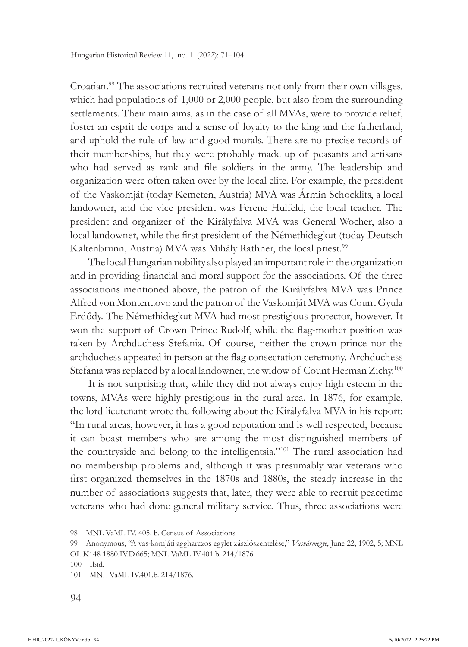Croatian.98 The associations recruited veterans not only from their own villages, which had populations of  $1,000$  or  $2,000$  people, but also from the surrounding settlements. Their main aims, as in the case of all MVAs, were to provide relief, foster an esprit de corps and a sense of loyalty to the king and the fatherland, and uphold the rule of law and good morals. There are no precise records of their memberships, but they were probably made up of peasants and artisans who had served as rank and file soldiers in the army. The leadership and organization were often taken over by the local elite. For example, the president of the Vaskomját (today Kemeten, Austria) MVA was Ármin Schocklits, a local landowner, and the vice president was Ferenc Hulfeld, the local teacher. The president and organizer of the Királyfalva MVA was General Wocher, also a local landowner, while the first president of the Némethidegkut (today Deutsch Kaltenbrunn, Austria) MVA was Mihály Rathner, the local priest.<sup>99</sup>

The local Hungarian nobility also played an important role in the organization and in providing financial and moral support for the associations. Of the three associations mentioned above, the patron of the Királyfalva MVA was Prince Alfred von Montenuovo and the patron of the Vaskomját MVA was Count Gyula Erdődy. The Némethidegkut MVA had most prestigious protector, however. It won the support of Crown Prince Rudolf, while the flag-mother position was taken by Archduchess Stefania. Of course, neither the crown prince nor the archduchess appeared in person at the flag consecration ceremony. Archduchess Stefania was replaced by a local landowner, the widow of Count Herman Zichy.<sup>100</sup>

It is not surprising that, while they did not always enjoy high esteem in the towns, MVAs were highly prestigious in the rural area. In 1876, for example, the lord lieutenant wrote the following about the Királyfalva MVA in his report: "In rural areas, however, it has a good reputation and is well respected, because it can boast members who are among the most distinguished members of the countryside and belong to the intelligentsia."101 The rural association had no membership problems and, although it was presumably war veterans who first organized themselves in the 1870s and 1880s, the steady increase in the number of associations suggests that, later, they were able to recruit peacetime veterans who had done general military service. Thus, three associations were

<sup>98</sup> MNL VaML IV. 405. b. Census of Associations.

<sup>99</sup> Anonymous, "A vas-komjáti aggharczos egylet zászlószentelése," *Vasvármegye*, June 22, 1902, 5; MNL OL K148 1880.IV.D.665; MNL VaML IV.401.b. 214/1876.

<sup>100</sup> Ibid.

<sup>101</sup> MNL VaML IV.401.b. 214/1876.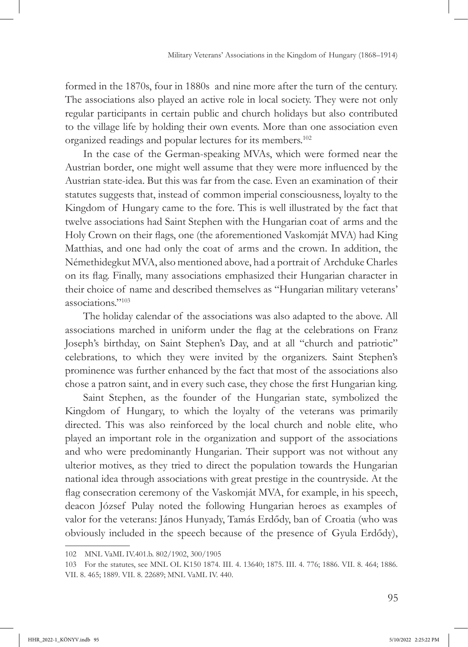formed in the 1870s, four in 1880s and nine more after the turn of the century. The associations also played an active role in local society. They were not only regular participants in certain public and church holidays but also contributed to the village life by holding their own events. More than one association even organized readings and popular lectures for its members.102

In the case of the German-speaking MVAs, which were formed near the Austrian border, one might well assume that they were more influenced by the Austrian state-idea. But this was far from the case. Even an examination of their statutes suggests that, instead of common imperial consciousness, loyalty to the Kingdom of Hungary came to the fore. This is well illustrated by the fact that twelve associations had Saint Stephen with the Hungarian coat of arms and the Holy Crown on their flags, one (the aforementioned Vaskomját MVA) had King Matthias, and one had only the coat of arms and the crown. In addition, the Némethidegkut MVA, also mentioned above, had a portrait of Archduke Charles on its flag. Finally, many associations emphasized their Hungarian character in their choice of name and described themselves as "Hungarian military veterans' associations."<sup>103</sup>

The holiday calendar of the associations was also adapted to the above. All associations marched in uniform under the flag at the celebrations on Franz Joseph's birthday, on Saint Stephen's Day, and at all "church and patriotic" celebrations, to which they were invited by the organizers. Saint Stephen's prominence was further enhanced by the fact that most of the associations also chose a patron saint, and in every such case, they chose the first Hungarian king.

Saint Stephen, as the founder of the Hungarian state, symbolized the Kingdom of Hungary, to which the loyalty of the veterans was primarily directed. This was also reinforced by the local church and noble elite, who played an important role in the organization and support of the associations and who were predominantly Hungarian. Their support was not without any ulterior motives, as they tried to direct the population towards the Hungarian national idea through associations with great prestige in the countryside. At the flag consecration ceremony of the Vaskomját MVA, for example, in his speech, deacon József Pulay noted the following Hungarian heroes as examples of valor for the veterans: János Hunyady, Tamás Erdődy, ban of Croatia (who was obviously included in the speech because of the presence of Gyula Erdődy),

<sup>102</sup> MNL VaML IV.401.b. 802/1902, 300/1905

<sup>103</sup> For the statutes, see MNL OL K150 1874. III. 4. 13640; 1875. III. 4. 776; 1886. VII. 8. 464; 1886. VII. 8. 465; 1889. VII. 8. 22689; MNL VaML IV. 440.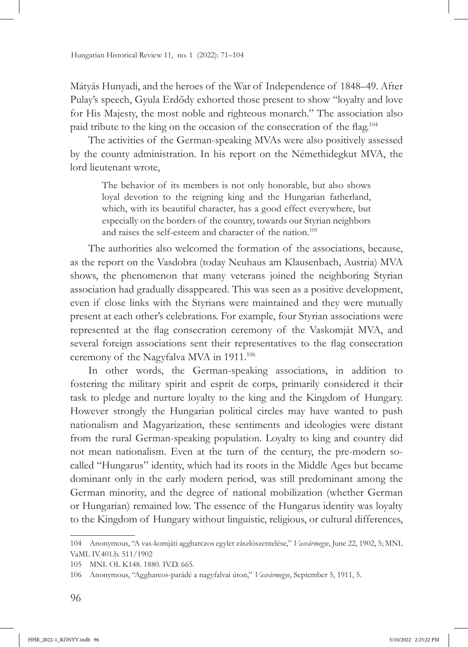Mátyás Hunyadi, and the heroes of the War of Independence of 1848–49. After Pulay's speech, Gyula Erdődy exhorted those present to show "loyalty and love for His Majesty, the most noble and righteous monarch." The association also paid tribute to the king on the occasion of the consecration of the flag.<sup>104</sup>

The activities of the German-speaking MVAs were also positively assessed by the county administration. In his report on the Némethidegkut MVA, the lord lieutenant wrote,

The behavior of its members is not only honorable, but also shows loyal devotion to the reigning king and the Hungarian fatherland, which, with its beautiful character, has a good effect everywhere, but especially on the borders of the country, towards our Styrian neighbors and raises the self-esteem and character of the nation.<sup>105</sup>

The authorities also welcomed the formation of the associations, because, as the report on the Vasdobra (today Neuhaus am Klausenbach, Austria) MVA shows, the phenomenon that many veterans joined the neighboring Styrian association had gradually disappeared. This was seen as a positive development, even if close links with the Styrians were maintained and they were mutually present at each other's celebrations. For example, four Styrian associations were represented at the flag consecration ceremony of the Vaskomját MVA, and several foreign associations sent their representatives to the flag consecration ceremony of the Nagyfalva MVA in 1911.<sup>106</sup>

In other words, the German-speaking associations, in addition to fostering the military spirit and esprit de corps, primarily considered it their task to pledge and nurture loyalty to the king and the Kingdom of Hungary. However strongly the Hungarian political circles may have wanted to push nationalism and Magyarization, these sentiments and ideologies were distant from the rural German-speaking population. Loyalty to king and country did not mean nationalism. Even at the turn of the century, the pre-modern socalled "Hungarus" identity, which had its roots in the Middle Ages but became dominant only in the early modern period, was still predominant among the German minority, and the degree of national mobilization (whether German or Hungarian) remained low. The essence of the Hungarus identity was loyalty to the Kingdom of Hungary without linguistic, religious, or cultural differences,

<sup>104</sup> Anonymous, "A vas-komjáti aggharczos egylet zászlószentelése," *Vasvármegye*, June 22, 1902, 5; MNL VaML IV.401.b. 511/1902

<sup>105</sup> MNL OL K148. 1880. IV.D. 665.

<sup>106</sup> Anonymous, "Aggharcos-parádé a nagyfalvai úton," *Vasvármegye*, September 5, 1911, 5.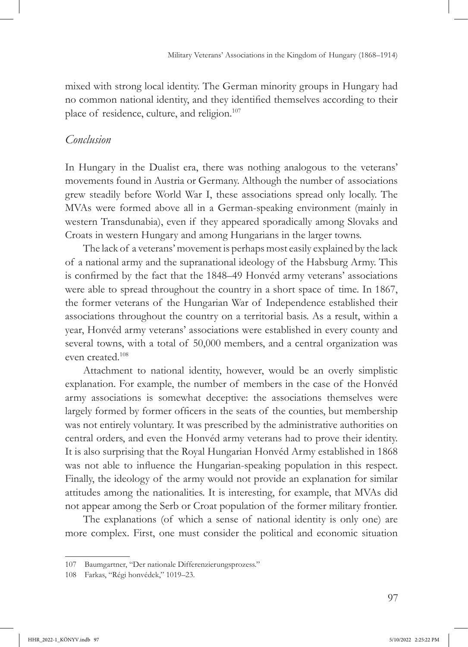mixed with strong local identity. The German minority groups in Hungary had no common national identity, and they identified themselves according to their place of residence, culture, and religion.<sup>107</sup>

#### *Conclusion*

In Hungary in the Dualist era, there was nothing analogous to the veterans' movements found in Austria or Germany. Although the number of associations grew steadily before World War I, these associations spread only locally. The MVAs were formed above all in a German-speaking environment (mainly in western Transdunabia), even if they appeared sporadically among Slovaks and Croats in western Hungary and among Hungarians in the larger towns.

The lack of a veterans' movement is perhaps most easily explained by the lack of a national army and the supranational ideology of the Habsburg Army. This is confirmed by the fact that the 1848–49 Honvéd army veterans' associations were able to spread throughout the country in a short space of time. In 1867, the former veterans of the Hungarian War of Independence established their associations throughout the country on a territorial basis. As a result, within a year, Honvéd army veterans' associations were established in every county and several towns, with a total of 50,000 members, and a central organization was even created.108

Attachment to national identity, however, would be an overly simplistic explanation. For example, the number of members in the case of the Honvéd army associations is somewhat deceptive: the associations themselves were largely formed by former officers in the seats of the counties, but membership was not entirely voluntary. It was prescribed by the administrative authorities on central orders, and even the Honvéd army veterans had to prove their identity. It is also surprising that the Royal Hungarian Honvéd Army established in 1868 was not able to influence the Hungarian-speaking population in this respect. Finally, the ideology of the army would not provide an explanation for similar attitudes among the nationalities. It is interesting, for example, that MVAs did not appear among the Serb or Croat population of the former military frontier.

The explanations (of which a sense of national identity is only one) are more complex. First, one must consider the political and economic situation

<sup>107</sup> Baumgartner, "Der nationale Differenzierungsprozess."

<sup>108</sup> Farkas, "Régi honvédek," 1019–23.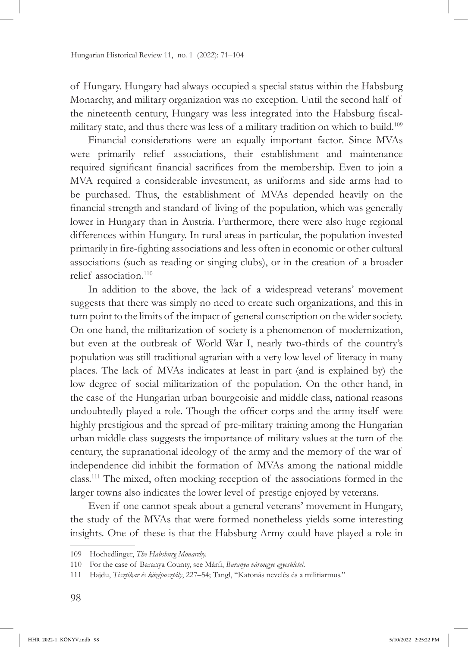of Hungary. Hungary had always occupied a special status within the Habsburg Monarchy, and military organization was no exception. Until the second half of the nineteenth century, Hungary was less integrated into the Habsburg fiscalmilitary state, and thus there was less of a military tradition on which to build.<sup>109</sup>

Financial considerations were an equally important factor. Since MVAs were primarily relief associations, their establishment and maintenance required significant financial sacrifices from the membership. Even to join a MVA required a considerable investment, as uniforms and side arms had to be purchased. Thus, the establishment of MVAs depended heavily on the financial strength and standard of living of the population, which was generally lower in Hungary than in Austria. Furthermore, there were also huge regional differences within Hungary. In rural areas in particular, the population invested primarily in fire-fighting associations and less often in economic or other cultural associations (such as reading or singing clubs), or in the creation of a broader relief association.<sup>110</sup>

In addition to the above, the lack of a widespread veterans' movement suggests that there was simply no need to create such organizations, and this in turn point to the limits of the impact of general conscription on the wider society. On one hand, the militarization of society is a phenomenon of modernization, but even at the outbreak of World War I, nearly two-thirds of the country's population was still traditional agrarian with a very low level of literacy in many places. The lack of MVAs indicates at least in part (and is explained by) the low degree of social militarization of the population. On the other hand, in the case of the Hungarian urban bourgeoisie and middle class, national reasons undoubtedly played a role. Though the officer corps and the army itself were highly prestigious and the spread of pre-military training among the Hungarian urban middle class suggests the importance of military values at the turn of the century, the supranational ideology of the army and the memory of the war of independence did inhibit the formation of MVAs among the national middle class.111 The mixed, often mocking reception of the associations formed in the larger towns also indicates the lower level of prestige enjoyed by veterans.

Even if one cannot speak about a general veterans' movement in Hungary, the study of the MVAs that were formed nonetheless yields some interesting insights. One of these is that the Habsburg Army could have played a role in

<sup>109</sup> Hochedlinger, *The Habsburg Monarchy.*

<sup>110</sup> For the case of Baranya County, see Márfi, *Baranya vármegye egyesületei*.

<sup>111</sup> Hajdu, *Tisztikar és középosztály*, 227–54; Tangl, "Katonás nevelés és a militiarmus."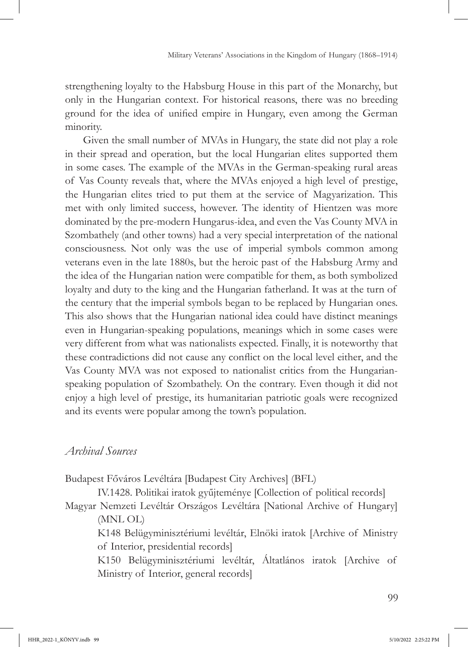strengthening loyalty to the Habsburg House in this part of the Monarchy, but only in the Hungarian context. For historical reasons, there was no breeding ground for the idea of unified empire in Hungary, even among the German minority.

Given the small number of MVAs in Hungary, the state did not play a role in their spread and operation, but the local Hungarian elites supported them in some cases. The example of the MVAs in the German-speaking rural areas of Vas County reveals that, where the MVAs enjoyed a high level of prestige, the Hungarian elites tried to put them at the service of Magyarization. This met with only limited success, however. The identity of Hientzen was more dominated by the pre-modern Hungarus-idea, and even the Vas County MVA in Szombathely (and other towns) had a very special interpretation of the national consciousness. Not only was the use of imperial symbols common among veterans even in the late 1880s, but the heroic past of the Habsburg Army and the idea of the Hungarian nation were compatible for them, as both symbolized loyalty and duty to the king and the Hungarian fatherland. It was at the turn of the century that the imperial symbols began to be replaced by Hungarian ones. This also shows that the Hungarian national idea could have distinct meanings even in Hungarian-speaking populations, meanings which in some cases were very different from what was nationalists expected. Finally, it is noteworthy that these contradictions did not cause any conflict on the local level either, and the Vas County MVA was not exposed to nationalist critics from the Hungarianspeaking population of Szombathely. On the contrary. Even though it did not enjoy a high level of prestige, its humanitarian patriotic goals were recognized and its events were popular among the town's population.

### *Archival Sources*

Budapest Főváros Levéltára [Budapest City Archives] (BFL)

IV.1428. Politikai iratok gyűjteménye [Collection of political records] Magyar Nemzeti Levéltár Országos Levéltára [National Archive of Hungary] (MNL OL)

K148 Belügyminisztériumi levéltár, Elnöki iratok [Archive of Ministry of Interior, presidential records]

K150 Belügyminisztériumi levéltár, Áltatlános iratok [Archive of Ministry of Interior, general records]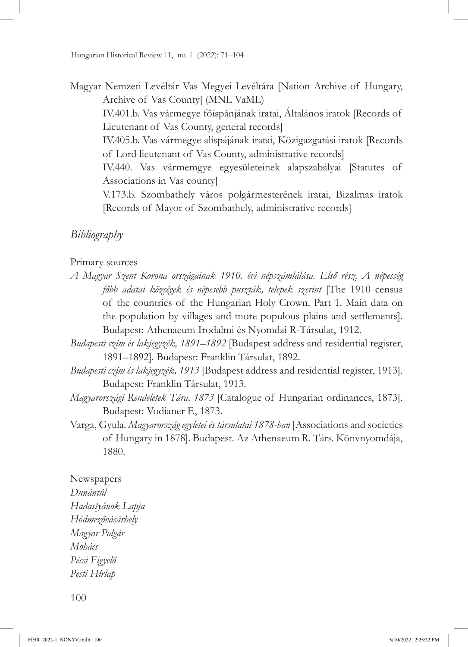Magyar Nemzeti Levéltár Vas Megyei Levéltára [Nation Archive of Hungary, Archive of Vas County] (MNL VaML)

IV.401.b. Vas vármegye főispánjának iratai, Általános iratok [Records of Lieutenant of Vas County, general records]

IV.405.b. Vas vármegye alispájának iratai, Közigazgatási iratok [Records of Lord lieutenant of Vas County, administrative records]

IV.440. Vas vármemgye egyesületeinek alapszabályai [Statutes of Associations in Vas county]

V.173.b. Szombathely város polgármesterének iratai, Bizalmas iratok [Records of Mayor of Szombathely, administrative records]

# *Bibliography*

#### Primary sources

- *A Magyar Szent Korona országainak 1910. évi népszámlálása. Első rész. A népesség főbb adatai községek és népesebb puszták, telepek szerint* [The 1910 census of the countries of the Hungarian Holy Crown. Part 1. Main data on the population by villages and more populous plains and settlements]. Budapest: Athenaeum Irodalmi és Nyomdai R-Társulat, 1912.
- *Budapesti czím és lakjegyzék, 1891–1892* [Budapest address and residential register, 1891–1892]. Budapest: Franklin Társulat, 1892.
- *Budapesti czím és lakjegyzék, 1913* [Budapest address and residential register, 1913]. Budapest: Franklin Társulat, 1913.
- *Magyarországi Rendeletek Tára, 1873* [Catalogue of Hungarian ordinances, 1873]. Budapest: Vodianer F., 1873.
- Varga, Gyula. *Magyarország egyletei és társulatai 1878-ban* [Associations and societies of Hungary in 1878]. Budapest. Az Athenaeum R. Társ. Könvnyomdája, 1880.

#### Newspapers

*Dunántúl Hadastyánok Lapja Hódmezővásárhely Magyar Polgár Mohács Pécsi Figyelő Pesti Hírlap*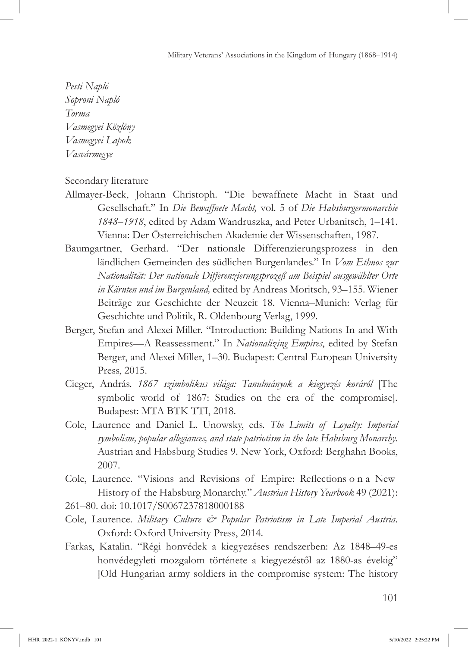*Pesti Napló Soproni Napló Torma Vasmegyei Közlöny Vasmegyei Lapok Vasvármegye*

Secondary literature

- Allmayer-Beck, Johann Christoph. "Die bewaffnete Macht in Staat und Gesellschaft." In *Die Bewaffnete Macht,* vol. 5 of *Die Habsburgermonarchie 1848–1918*, edited by Adam Wandruszka, and Peter Urbanitsch, 1–141. Vienna: Der Österreichischen Akademie der Wissenschaften, 1987.
- Baumgartner, Gerhard. "Der nationale Differenzierungsprozess in den ländlichen Gemeinden des südlichen Burgenlandes." In *Vom Ethnos zur Nationalität: Der nationale Differenzierungsprozeß am Beispiel ausgewählter Orte in Kärnten und im Burgenland,* edited by Andreas Moritsch, 93–155. Wiener Beiträge zur Geschichte der Neuzeit 18. Vienna–Munich: Verlag für Geschichte und Politik, R. Oldenbourg Verlag, 1999.
- Berger, Stefan and Alexei Miller. "Introduction: Building Nations In and With Empires—A Reassessment." In *Nationalizing Empires*, edited by Stefan Berger, and Alexei Miller, 1–30. Budapest: Central European University Press, 2015.
- Cieger, András. *1867 szimbolikus világa: Tanulmányok a kiegyezés koráról* [The symbolic world of 1867: Studies on the era of the compromise]*.* Budapest: MTA BTK TTI, 2018.
- Cole, Laurence and Daniel L. Unowsky, eds. *The Limits of Loyalty: Imperial symbolism, popular allegiances, and state patriotism in the late Habsburg Monarchy.*  Austrian and Habsburg Studies 9. New York, Oxford: Berghahn Books, 2007.
- Cole, Laurence. "Visions and Revisions of Empire: Reflections o n a New History of the Habsburg Monarchy." *Austrian History Yearbook* 49 (2021):
- 261–80. doi: [10.1017/S0067237818000188](https://doi.org/10.1017/S0067237818000188)
- Cole, Laurence. *Military Culture & Popular Patriotism in Late Imperial Austria*. Oxford: Oxford University Press, 2014.
- Farkas, Katalin. "Régi honvédek a kiegyezéses rendszerben: Az 1848–49-es honvédegyleti mozgalom története a kiegyezéstől az 1880-as évekig" [Old Hungarian army soldiers in the compromise system: The history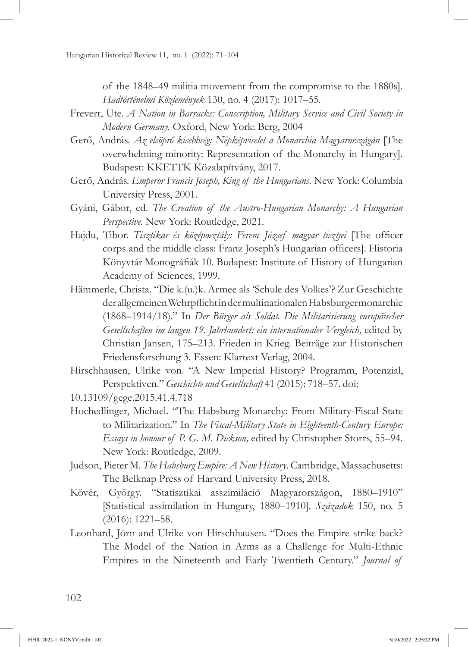of the 1848–49 militia movement from the compromise to the 1880s]. *Hadtörténelmi Közlemények* 130, no. 4 (2017): 1017–55.

- Frevert, Ute. *A Nation in Barracks: Conscription, Military Service and Civil Society in Modern Germany*. Oxford, New York: Berg, 2004
- Gerő, András. *Az elsöprő kisebbség: Népképviselet a Monarchia Magyarországán* [The overwhelming minority: Representation of the Monarchy in Hungary]. Budapest: KKETTK Közalapítvány, 2017.
- Gerő, András. *Emperor Francis Joseph, King of the Hungarians*. New York: Columbia University Press, 2001.
- Gyáni, Gábor, ed. *The Creation of the Austro-Hungarian Monarchy: A Hungarian Perspective*. New York: Routledge, 2021.
- Hajdu, Tibor. *Tisztikar és középosztály: Ferenc József magyar tisztjei* [The officer corps and the middle class: Franz Joseph's Hungarian officers]. Historia Könyvtár Monográfiák 10. Budapest: Institute of History of Hungarian Academy of Sciences, 1999.
- Hämmerle, Christa. "Die k.(u.)k. Armee als 'Schule des Volkes'? Zur Geschichte der allgemeinen Wehrpflicht in der multinationalen Habsburgermonarchie (1868–1914/18)." In *Der Bürger als Soldat. Die Militarisierung europäischer Gesellschaften im langen 19. Jahrhundert: ein internationaler Vergleich,* edited by Christian Jansen, 175–213. Frieden in Krieg. Beiträge zur Historischen Friedensforschung 3. Essen: Klartext Verlag, 2004.
- Hirschhausen, Ulrike von. "A New Imperial History? Programm, Potenzial, Perspektiven." *Geschichte und Gesellschaft* 41 (2015): 718–57. doi:

- Hochedlinger, Michael. "The Habsburg Monarchy: From Military-Fiscal State to Militarization." In *The Fiscal-Military State in Eighteenth-Century Europe: Essays in honour of P. G. M. Dickson,* edited by Christopher Storrs, 55–94. New York: Routledge, 2009.
- Judson, Pieter M. *The Habsburg Empire: A New History*. Cambridge, Massachusetts: The Belknap Press of Harvard University Press, 2018.
- Kövér, György. "Statisztikai asszimiláció Magyarországon, 1880–1910" [Statistical assimilation in Hungary, 1880–1910]. *Századok* 150, no. 5 (2016): 1221–58.
- Leonhard, Jörn and Ulrike von Hirschhausen. "Does the Empire strike back? The Model of the Nation in Arms as a Challenge for Multi-Ethnic Empires in the Nineteenth and Early Twentieth Century." *Journal of*

[<sup>10.13109/</sup>gege.2015.41.4.718](https://doi.org/10.13109/gege.2015.41.4.718)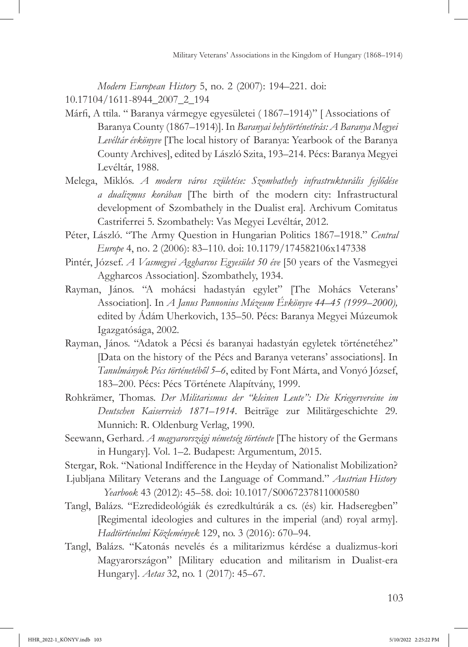*Modern European History* 5, no. 2 (2007): 194–221. doi:

[10.17104/1611-8944\\_2007\\_2\\_194](https://doi.org/10.17104/1611-8944_2007_2_194)

- Márfi, A ttila. " Baranya vármegye egyesületei ( 1867–1914)" [ Associations of Baranya County (1867–1914)]. In *Baranyai helytörténetírás: A Baranya Megyei Levéltár évkönyve* [The local history of Baranya: Yearbook of the Baranya County Archives], edited by László Szita, 193–214. Pécs: Baranya Megyei Levéltár, 1988.
- Melega, Miklós. *A modern város születése: Szombathely infrastrukturális fejlődése a dualizmus korában* [The birth of the modern city: Infrastructural development of Szombathely in the Dualist era]*.* Archivum Comitatus Castriferrei 5*.* Szombathely: Vas Megyei Levéltár, 2012.
- Péter, László. "The Army Question in Hungarian Politics 1867–1918." *Central Europe* 4, no. 2 (2006): 83–110. doi: [10.1179/174582106x147338](https://doi.org/10.1179/174582106x147338)
- Pintér, József. *A Vasmegyei Aggharcos Egyesület 50 éve* [50 years of the Vasmegyei Aggharcos Association]. Szombathely, 1934.
- Rayman, János. "A mohácsi hadastyán egylet" [The Mohács Veterans' Association]. In *A Janus Pannonius Múzeum Évkönyve 44–45 (1999–2000),* edited by Ádám Uherkovich, 135–50. Pécs: Baranya Megyei Múzeumok Igazgatósága, 2002.
- Rayman, János. "Adatok a Pécsi és baranyai hadastyán egyletek történetéhez" [Data on the history of the Pécs and Baranya veterans' associations]. In *Tanulmányok Pécs történetéből 5–6*, edited by Font Márta, and Vonyó József, 183–200. Pécs: Pécs Története Alapítvány, 1999.
- Rohkrämer, Thomas. *Der Militarismus der "kleinen Leute": Die Kriegervereine im Deutschen Kaiserreich 1871–1914*. Beiträge zur Militärgeschichte 29*.* Munnich: R. Oldenburg Verlag, 1990.
- Seewann, Gerhard. *A magyarországi németség története* [The history of the Germans in Hungary]*.* Vol. 1–2. Budapest: Argumentum, 2015.

Stergar, Rok. "National Indifference in the Heyday of Nationalist Mobilization?

- Ljubljana Military Veterans and the Language of Command." *Austrian History Yearbook* 43 (2012): 45–58. doi: [10.1017/S0067237811000580](https://doi.org/10.1017/S0067237811000580)
- Tangl, Balázs. "Ezredideológiák és ezredkultúrák a cs. (és) kir. Hadseregben" [Regimental ideologies and cultures in the imperial (and) royal army]. *Hadtörténelmi Közlemények* 129, no. 3 (2016): 670–94.
- Tangl, Balázs. "Katonás nevelés és a militarizmus kérdése a dualizmus-kori Magyarországon" [Military education and militarism in Dualist-era Hungary]. *Aetas* 32, no. 1 (2017): 45–67.